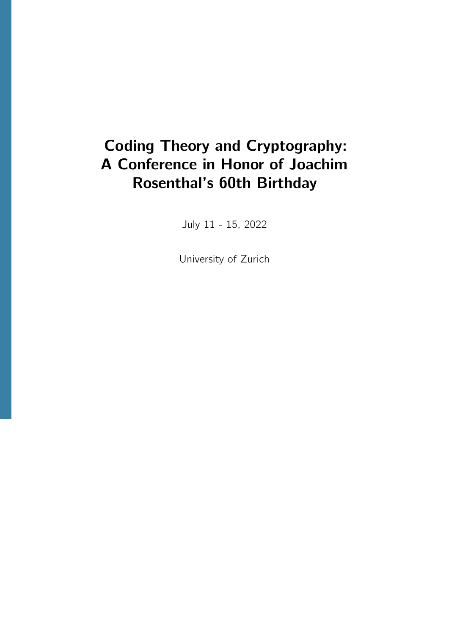# Coding Theory and Cryptography: A Conference in Honor of Joachim Rosenthal's 60th Birthday

July 11 - 15, 2022

University of Zurich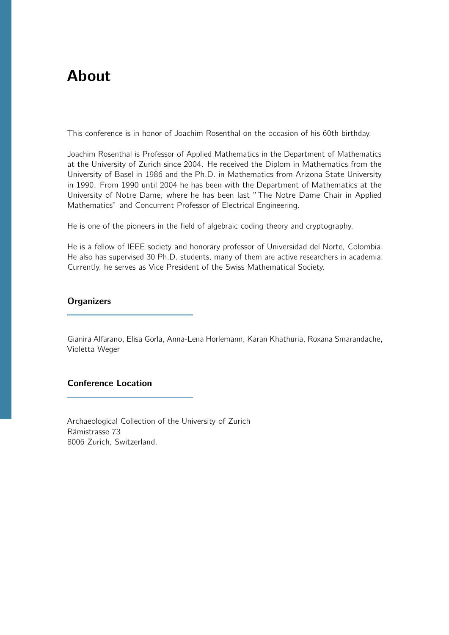## <span id="page-1-0"></span>About

This conference is in honor of Joachim Rosenthal on the occasion of his 60th birthday.

Joachim Rosenthal is Professor of Applied Mathematics in the Department of Mathematics at the University of Zurich since 2004. He received the Diplom in Mathematics from the University of Basel in 1986 and the Ph.D. in Mathematics from Arizona State University in 1990. From 1990 until 2004 he has been with the Department of Mathematics at the University of Notre Dame, where he has been last "The Notre Dame Chair in Applied Mathematics" and Concurrent Professor of Electrical Engineering.

He is one of the pioneers in the field of algebraic coding theory and cryptography.

He is a fellow of IEEE society and honorary professor of Universidad del Norte, Colombia. He also has supervised 30 Ph.D. students, many of them are active researchers in academia. Currently, he serves as Vice President of the Swiss Mathematical Society.

## **Organizers**

Gianira Alfarano, Elisa Gorla, Anna-Lena Horlemann, Karan Khathuria, Roxana Smarandache, Violetta Weger

## Conference Location

Archaeological Collection of the University of Zurich Rämistrasse 73 8006 Zurich, Switzerland.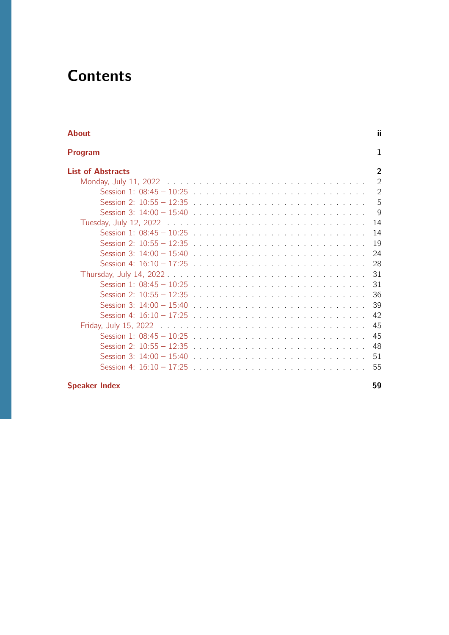# **Contents**

| <b>About</b>             | ΪÎ             |
|--------------------------|----------------|
| <b>Program</b>           | 1              |
| <b>List of Abstracts</b> | $\overline{2}$ |
|                          | $\overline{2}$ |
|                          | $\overline{2}$ |
|                          | 5              |
|                          | 9              |
|                          | 14             |
|                          | 14             |
|                          | 19             |
|                          | 24             |
|                          | 28             |
|                          | 31             |
|                          | 31             |
|                          | 36             |
|                          | 39             |
|                          | 42             |
|                          | 45             |
|                          | 45             |
|                          | 48             |
|                          | 51             |
|                          | 55             |
|                          |                |

## **[Speaker Index](#page-61-0) 59 Speaker Index**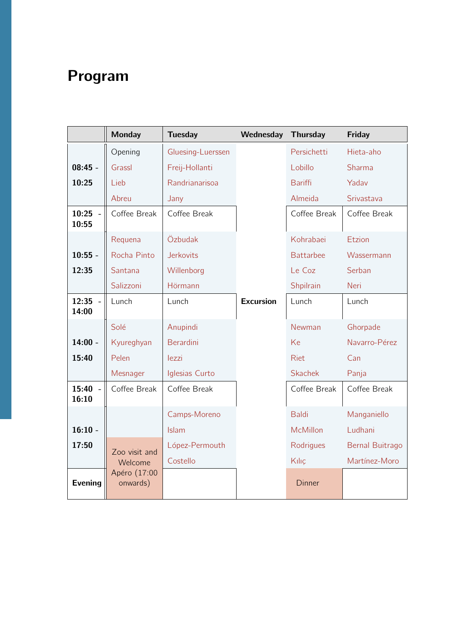# <span id="page-3-0"></span>Program

|                | <b>Monday</b>            | <b>Tuesday</b>    | Wednesday        | <b>Thursday</b>  | <b>Friday</b>          |  |  |
|----------------|--------------------------|-------------------|------------------|------------------|------------------------|--|--|
|                | Opening                  | Gluesing-Luerssen |                  | Persichetti      | Hieta-aho              |  |  |
| $08:45 -$      | Grassl                   | Freij-Hollanti    |                  | Lobillo          | Sharma                 |  |  |
| 10:25          | Lieb                     | Randrianarisoa    |                  | <b>Bariffi</b>   | Yadav                  |  |  |
|                | Abreu                    | Jany              |                  | Almeida          | Srivastava             |  |  |
| $10:25 -$      | Coffee Break             | Coffee Break      |                  | Coffee Break     | Coffee Break           |  |  |
| 10:55          |                          |                   |                  |                  |                        |  |  |
|                | Requena                  | Özbudak           |                  | Kohrabaei        | Etzion                 |  |  |
| $10:55 -$      | Rocha Pinto              | <b>Jerkovits</b>  |                  | <b>Battarbee</b> | Wassermann             |  |  |
| 12:35          | Santana                  | Willenborg        |                  | Le Coz           | Serban                 |  |  |
|                | Salizzoni                | Hörmann           |                  | Shpilrain        | Neri                   |  |  |
| 12:35<br>14:00 | Lunch                    | Lunch             | <b>Excursion</b> | Lunch            | Lunch                  |  |  |
|                | Solé                     | Anupindi          |                  | Newman           | Ghorpade               |  |  |
| $14:00 -$      | Kyureghyan               | <b>Berardini</b>  |                  | Ke               | Navarro-Pérez          |  |  |
| 15:40          | Pelen                    | lezzi             |                  | <b>Riet</b>      | Can                    |  |  |
|                | Mesnager                 | Iglesias Curto    |                  | <b>Skachek</b>   | Panja                  |  |  |
| 15:40<br>16:10 | Coffee Break             | Coffee Break      |                  | Coffee Break     | Coffee Break           |  |  |
|                |                          | Camps-Moreno      |                  | <b>Baldi</b>     | Manganiello            |  |  |
| $16:10 -$      |                          | Islam             |                  | <b>McMillon</b>  | Ludhani                |  |  |
| 17:50          | Zoo visit and            | López-Permouth    |                  | Rodrigues        | <b>Bernal Buitrago</b> |  |  |
|                | Welcome                  | Costello          |                  | Kılıç            | Martínez-Moro          |  |  |
| <b>Evening</b> | Apéro (17:00<br>onwards) |                   |                  | <b>Dinner</b>    |                        |  |  |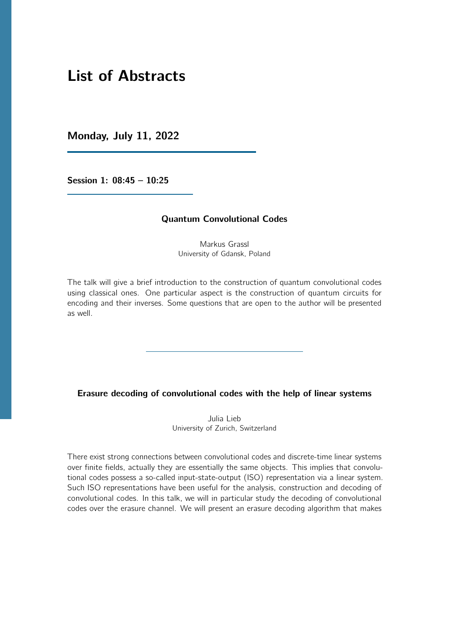## <span id="page-4-5"></span><span id="page-4-0"></span>List of Abstracts

<span id="page-4-1"></span>Monday, July 11, 2022

<span id="page-4-3"></span><span id="page-4-2"></span>Session 1: 08:45 – 10:25

## Quantum Convolutional Codes

Markus Grassl University of Gdansk, Poland

The talk will give a brief introduction to the construction of quantum convolutional codes using classical ones. One particular aspect is the construction of quantum circuits for encoding and their inverses. Some questions that are open to the author will be presented as well.

## <span id="page-4-4"></span>Erasure decoding of convolutional codes with the help of linear systems

Julia Lieb University of Zurich, Switzerland

There exist strong connections between convolutional codes and discrete-time linear systems over finite fields, actually they are essentially the same objects. This implies that convolutional codes possess a so-called input-state-output (ISO) representation via a linear system. Such ISO representations have been useful for the analysis, construction and decoding of convolutional codes. In this talk, we will in particular study the decoding of convolutional codes over the erasure channel. We will present an erasure decoding algorithm that makes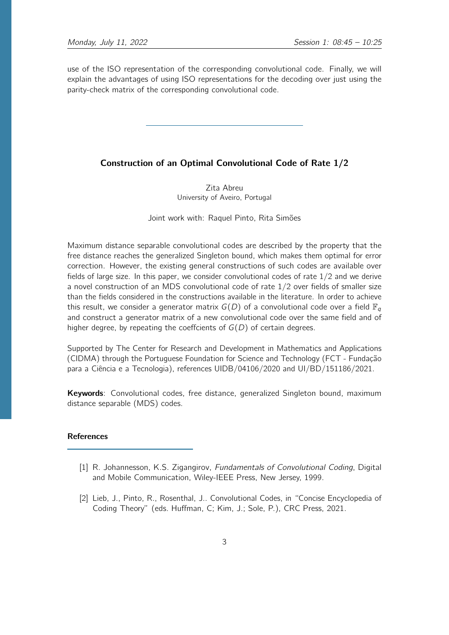<span id="page-5-1"></span>use of the ISO representation of the corresponding convolutional code. Finally, we will explain the advantages of using ISO representations for the decoding over just using the parity-check matrix of the corresponding convolutional code.

#### <span id="page-5-0"></span>Construction of an Optimal Convolutional Code of Rate 1/2

Zita Abreu University of Aveiro, Portugal

Joint work with: Raquel Pinto, Rita Simões

Maximum distance separable convolutional codes are described by the property that the free distance reaches the generalized Singleton bound, which makes them optimal for error correction. However, the existing general constructions of such codes are available over fields of large size. In this paper, we consider convolutional codes of rate  $1/2$  and we derive a novel construction of an MDS convolutional code of rate 1/2 over fields of smaller size than the fields considered in the constructions available in the literature. In order to achieve this result, we consider a generator matrix  $G(D)$  of a convolutional code over a field  $\mathbb{F}_q$ and construct a generator matrix of a new convolutional code over the same field and of higher degree, by repeating the coeffcients of  $G(D)$  of certain degrees.

Supported by The Center for Research and Development in Mathematics and Applications (CIDMA) through the Portuguese Foundation for Science and Technology (FCT - Fundação para a Ciência e a Tecnologia), references UIDB/04106/2020 and UI/BD/151186/2021.

**Keywords:** Convolutional codes, free distance, generalized Singleton bound, maximum distance separable (MDS) codes.

#### **References**

- [1] R. Johannesson, K.S. Zigangirov, Fundamentals of Convolutional Coding, Digital and Mobile Communication, Wiley-IEEE Press, New Jersey, 1999.
- [2] Lieb, J., Pinto, R., Rosenthal, J.. Convolutional Codes, in "Concise Encyclopedia of Coding Theory" (eds. Huffman, C; Kim, J.; Sole, P.), CRC Press, 2021.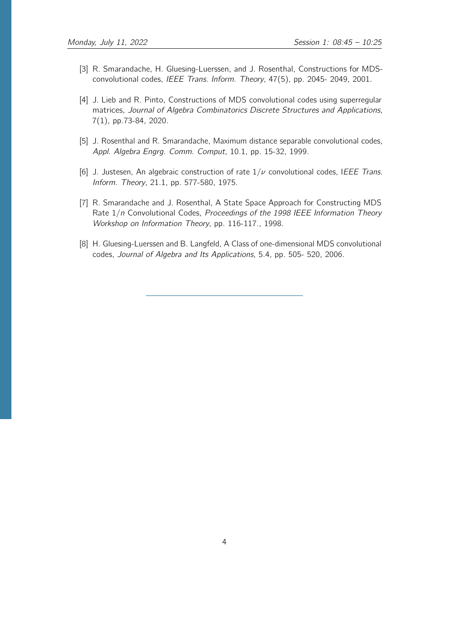- [3] R. Smarandache, H. Gluesing-Luerssen, and J. Rosenthal, Constructions for MDSconvolutional codes, IEEE Trans. Inform. Theory, 47(5), pp. 2045- 2049, 2001.
- [4] J. Lieb and R. Pinto, Constructions of MDS convolutional codes using superregular matrices, Journal of Algebra Combinatorics Discrete Structures and Applications, 7(1), pp.73-84, 2020.
- [5] J. Rosenthal and R. Smarandache, Maximum distance separable convolutional codes, Appl. Algebra Engrg. Comm. Comput, 10.1, pp. 15-32, 1999.
- [6] J. Justesen, An algebraic construction of rate  $1/\nu$  convolutional codes, IEEE Trans. Inform. Theory, 21.1, pp. 577-580, 1975.
- [7] R. Smarandache and J. Rosenthal, A State Space Approach for Constructing MDS Rate  $1/n$  Convolutional Codes, Proceedings of the 1998 IEEE Information Theory Workshop on Information Theory, pp. 116-117., 1998.
- [8] H. Gluesing-Luerssen and B. Langfeld, A Class of one-dimensional MDS convolutional codes, Journal of Algebra and Its Applications, 5.4, pp. 505- 520, 2006.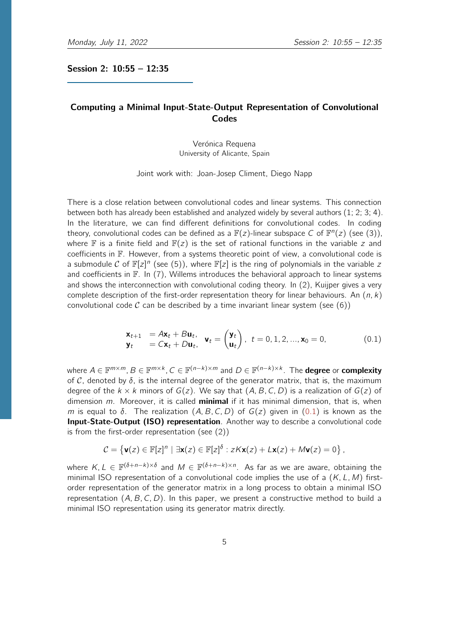<span id="page-7-3"></span><span id="page-7-0"></span>Session 2: 10:55 – 12:35

## <span id="page-7-1"></span>Computing a Minimal Input-State-Output Representation of Convolutional Codes

Verónica Requena University of Alicante, Spain

Joint work with: Joan-Josep Climent, Diego Napp

There is a close relation between convolutional codes and linear systems. This connection between both has already been established and analyzed widely by several authors [\(1;](#page-8-1) [2;](#page-8-2) [3;](#page-8-3) [4\)](#page-8-4). In the literature, we can find different definitions for convolutional codes. In coding theory, convolutional codes can be defined as a  $\mathbb{F}(z)$ -linear subspace C of  $\mathbb{F}^n(z)$  (see [\(3\)](#page-8-3)), where  $\mathbb F$  is a finite field and  $\mathbb F(z)$  is the set of rational functions in the variable z and coefficients in F. However, from a systems theoretic point of view, a convolutional code is a submodule C of  $\mathbb{F}[z]^n$  (see [\(5\)](#page-8-5)), where  $\mathbb{F}[z]$  is the ring of polynomials in the variable z and coefficients in  $\mathbb{F}$ . In [\(7\)](#page-8-6), Willems introduces the behavioral approach to linear systems and shows the interconnection with convolutional coding theory. In [\(2\)](#page-8-2), Kuijper gives a very complete description of the first-order representation theory for linear behaviours. An  $(n, k)$ convolutional code  $\mathcal C$  can be described by a time invariant linear system (see [\(6\)](#page-8-7))

<span id="page-7-2"></span>
$$
\begin{array}{ll}\n\mathbf{x}_{t+1} &= A\mathbf{x}_t + B\mathbf{u}_t, \\
\mathbf{y}_t &= C\mathbf{x}_t + D\mathbf{u}_t,\n\end{array}\n\mathbf{v}_t = \begin{pmatrix}\n\mathbf{y}_t \\
\mathbf{u}_t\n\end{pmatrix},\n\quad t = 0, 1, 2, \dots, \mathbf{x}_0 = 0,\n\tag{0.1}
$$

where  $A\in \mathbb{F}^{m\times m}$ ,  $B\in \mathbb{F}^{m\times k}$ ,  $C\in \mathbb{F}^{(n-k)\times m}$  and  $D\in \mathbb{F}^{(n-k)\times k}$ . The degree or complexity of C, denoted by  $\delta$ , is the internal degree of the generator matrix, that is, the maximum degree of the  $k \times k$  minors of  $G(z)$ . We say that  $(A, B, C, D)$  is a realization of  $G(z)$  of dimension  $m$ . Moreover, it is called **minimal** if it has minimal dimension, that is, when m is equal to  $\delta$ . The realization  $(A, B, C, D)$  of  $G(z)$  given in  $(0.1)$  is known as the Input-State-Output (ISO) representation. Another way to describe a convolutional code is from the first-order representation (see [\(2\)](#page-8-2))

$$
\mathcal{C} = \left\{ \mathbf{v}(z) \in \mathbb{F}[z]^n \mid \exists \mathbf{x}(z) \in \mathbb{F}[z] \delta : zK\mathbf{x}(z) + L\mathbf{x}(z) + M\mathbf{v}(z) = 0 \right\},
$$

where  $K, L \in \mathbb{F}^{(\delta+n-k)\times \delta}$  and  $M \in \mathbb{F}^{(\delta+n-k)\times n}$ . As far as we are aware, obtaining the minimal ISO representation of a convolutional code implies the use of a  $(K, L, M)$  firstorder representation of the generator matrix in a long process to obtain a minimal ISO representation  $(A, B, C, D)$ . In this paper, we present a constructive method to build a minimal ISO representation using its generator matrix directly.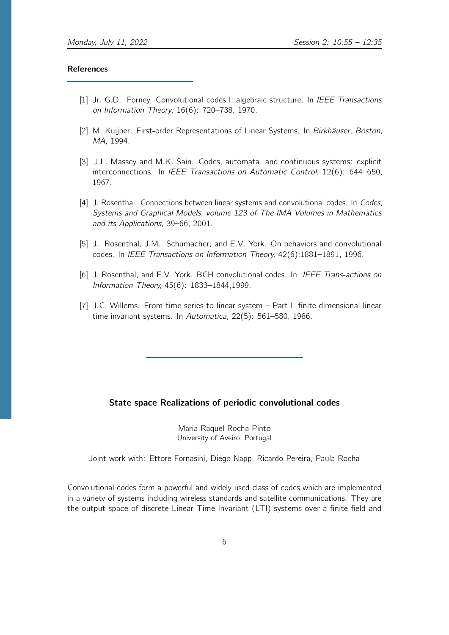#### <span id="page-8-8"></span>**References**

- <span id="page-8-1"></span>[1] Jr. G.D. Forney. Convolutional codes I: algebraic structure. In IEEE Transactions on Information Theory, 16(6): 720–738, 1970.
- <span id="page-8-2"></span>[2] M. Kuijper. First-order Representations of Linear Systems. In Birkhäuser, Boston, MA, 1994.
- <span id="page-8-3"></span>[3] J.L. Massey and M.K. Sain. Codes, automata, and continuous systems: explicit interconnections. In IEEE Transactions on Automatic Control, 12(6): 644–650, 1967.
- <span id="page-8-4"></span>[4] J. Rosenthal. Connections between linear systems and convolutional codes. In Codes, Systems and Graphical Models, volume 123 of The IMA Volumes in Mathematics and its Applications, 39–66, 2001.
- <span id="page-8-5"></span>[5] J. Rosenthal, J.M. Schumacher, and E.V. York. On behaviors and convolutional codes. In IEEE Transactions on Information Theory, 42(6):1881–1891, 1996.
- <span id="page-8-7"></span>[6] J. Rosenthal, and E.V. York. BCH convolutional codes. In IEEE Trans-actions on Information Theory, 45(6): 1833–1844,1999.
- <span id="page-8-6"></span>[7] J.C. Willems. From time series to linear system – Part I. finite dimensional linear time invariant systems. In Automatica, 22(5): 561–580, 1986.

#### <span id="page-8-0"></span>State space Realizations of periodic convolutional codes

Maria Raquel Rocha Pinto University of Aveiro, Portugal

Joint work with: Ettore Fornasini, Diego Napp, Ricardo Pereira, Paula Rocha

Convolutional codes form a powerful and widely used class of codes which are implemented in a variety of systems including wireless standards and satellite communications. They are the output space of discrete Linear Time-Invariant (LTI) systems over a finite field and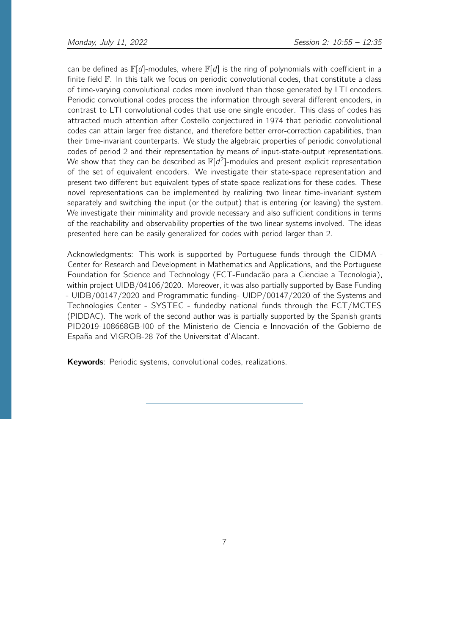can be defined as  $\mathbb{F}[d]$ -modules, where  $\mathbb{F}[d]$  is the ring of polynomials with coefficient in a finite field  $\mathbb F$ . In this talk we focus on periodic convolutional codes, that constitute a class of time-varying convolutional codes more involved than those generated by LTI encoders. Periodic convolutional codes process the information through several different encoders, in contrast to LTI convolutional codes that use one single encoder. This class of codes has attracted much attention after Costello conjectured in 1974 that periodic convolutional codes can attain larger free distance, and therefore better error-correction capabilities, than their time-invariant counterparts. We study the algebraic properties of periodic convolutional codes of period 2 and their representation by means of input-state-output representations. We show that they can be described as  $\mathbb{F}[d^2]$ -modules and present explicit representation of the set of equivalent encoders. We investigate their state-space representation and present two different but equivalent types of state-space realizations for these codes. These novel representations can be implemented by realizing two linear time-invariant system separately and switching the input (or the output) that is entering (or leaving) the system. We investigate their minimality and provide necessary and also sufficient conditions in terms of the reachability and observability properties of the two linear systems involved. The ideas presented here can be easily generalized for codes with period larger than 2.

Acknowledgments: This work is supported by Portuguese funds through the CIDMA - Center for Research and Development in Mathematics and Applications, and the Portuguese Foundation for Science and Technology (FCT-Fundacão para a Cienciae a Tecnologia), within project UIDB/04106/2020. Moreover, it was also partially supported by Base Funding - UIDB/00147/2020 and Programmatic funding- UIDP/00147/2020 of the Systems and Technologies Center - SYSTEC - fundedby national funds through the FCT/MCTES (PIDDAC). The work of the second author was is partially supported by the Spanish grants PID2019-108668GB-I00 of the Ministerio de Ciencia e Innovación of the Gobierno de España and VIGROB-28 7of the Universitat d'Alacant.

Keywords: Periodic systems, convolutional codes, realizations.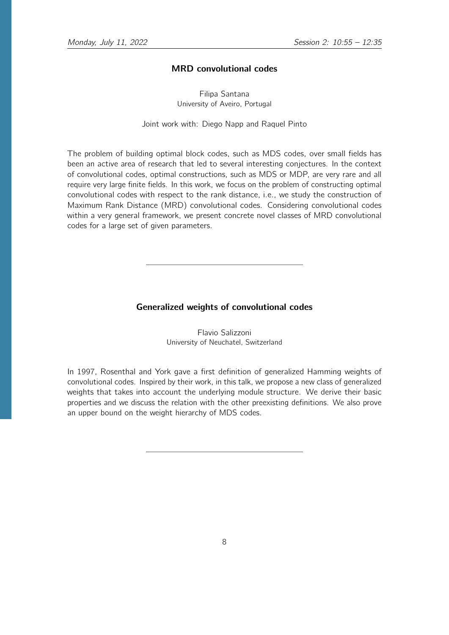#### <span id="page-10-2"></span>MRD convolutional codes

Filipa Santana University of Aveiro, Portugal

Joint work with: Diego Napp and Raquel Pinto

<span id="page-10-0"></span>The problem of building optimal block codes, such as MDS codes, over small fields has been an active area of research that led to several interesting conjectures. In the context of convolutional codes, optimal constructions, such as MDS or MDP, are very rare and all require very large finite fields. In this work, we focus on the problem of constructing optimal convolutional codes with respect to the rank distance, i.e., we study the construction of Maximum Rank Distance (MRD) convolutional codes. Considering convolutional codes within a very general framework, we present concrete novel classes of MRD convolutional codes for a large set of given parameters.

#### <span id="page-10-1"></span>Generalized weights of convolutional codes

Flavio Salizzoni University of Neuchatel, Switzerland

In 1997, Rosenthal and York gave a first definition of generalized Hamming weights of convolutional codes. Inspired by their work, in this talk, we propose a new class of generalized weights that takes into account the underlying module structure. We derive their basic properties and we discuss the relation with the other preexisting definitions. We also prove an upper bound on the weight hierarchy of MDS codes.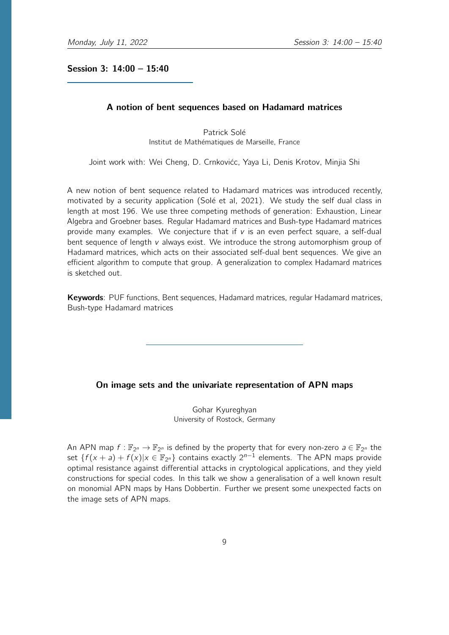<span id="page-11-3"></span><span id="page-11-1"></span><span id="page-11-0"></span>Session 3: 14:00 – 15:40

#### A notion of bent sequences based on Hadamard matrices

Patrick Solé Institut de Mathématiques de Marseille, France

Joint work with: Wei Cheng, D. Crnkovićc, Yaya Li, Denis Krotov, Minija Shi

A new notion of bent sequence related to Hadamard matrices was introduced recently, motivated by a security application (Solé et al, 2021). We study the self dual class in length at most 196. We use three competing methods of generation: Exhaustion, Linear Algebra and Groebner bases. Regular Hadamard matrices and Bush-type Hadamard matrices provide many examples. We conjecture that if  $v$  is an even perfect square, a self-dual bent sequence of length  $v$  always exist. We introduce the strong automorphism group of Hadamard matrices, which acts on their associated self-dual bent sequences. We give an efficient algorithm to compute that group. A generalization to complex Hadamard matrices is sketched out.

Keywords: PUF functions, Bent sequences, Hadamard matrices, regular Hadamard matrices, Bush-type Hadamard matrices

#### <span id="page-11-2"></span>On image sets and the univariate representation of APN maps

Gohar Kyureghyan University of Rostock, Germany

An APN map  $f : \mathbb{F}_{2^n} \to \mathbb{F}_{2^n}$  is defined by the property that for every non-zero  $a \in \mathbb{F}_{2^n}$  the set  $\{f(x+a)+f(x)|x\in \mathbb{F}_{2^n}\}$  contains exactly  $2^{n-1}$  elements. The APN maps provide optimal resistance against differential attacks in cryptological applications, and they yield constructions for special codes. In this talk we show a generalisation of a well known result on monomial APN maps by Hans Dobbertin. Further we present some unexpected facts on the image sets of APN maps.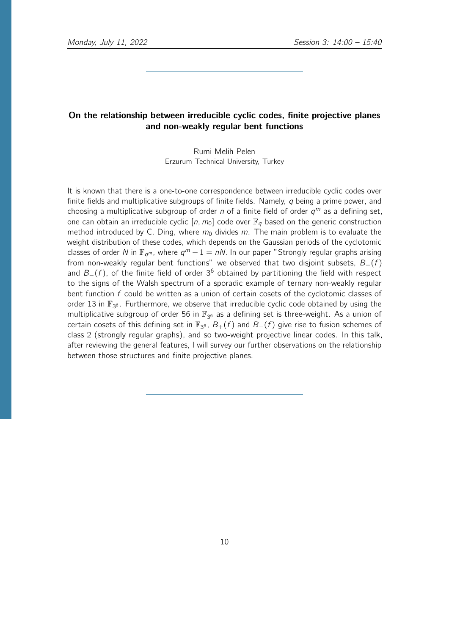## <span id="page-12-1"></span><span id="page-12-0"></span>On the relationship between irreducible cyclic codes, finite projective planes and non-weakly regular bent functions

Rumi Melih Pelen Erzurum Technical University, Turkey

It is known that there is a one-to-one correspondence between irreducible cyclic codes over finite fields and multiplicative subgroups of finite fields. Namely, q being a prime power, and choosing a multiplicative subgroup of order n of a finite field of order  $q^m$  as a defining set, one can obtain an irreducible cyclic  $[n, m_0]$  code over  $\mathbb{F}_q$  based on the generic construction method introduced by C. Ding, where  $m_0$  divides m. The main problem is to evaluate the weight distribution of these codes, which depends on the Gaussian periods of the cyclotomic classes of order N in  $\mathbb{F}_{q^m}$ , where  $q^m - 1 = nN$ . In our paper "Strongly regular graphs arising from non-weakly regular bent functions" we observed that two disjoint subsets,  $B_+(f)$ and  $B_-(f)$ , of the finite field of order 3<sup>6</sup> obtained by partitioning the field with respect to the signs of the Walsh spectrum of a sporadic example of ternary non-weakly regular bent function  $f$  could be written as a union of certain cosets of the cyclotomic classes of order 13 in  $\mathbb{F}_{3^6}$ . Furthermore, we observe that irreducible cyclic code obtained by using the multiplicative subgroup of order 56 in  $\mathbb{F}_{3^6}$  as a defining set is three-weight. As a union of certain cosets of this defining set in  $\mathbb{F}_{3^6}$ ,  $B_+(f)$  and  $B_-(f)$  give rise to fusion schemes of class 2 (strongly regular graphs), and so two-weight projective linear codes. In this talk, after reviewing the general features, I will survey our further observations on the relationship between those structures and finite projective planes.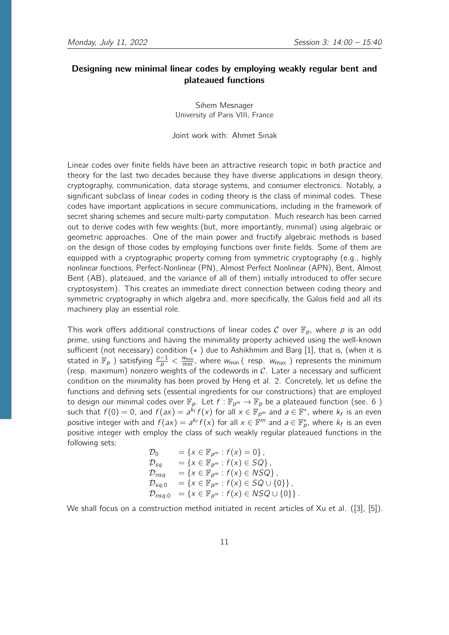## <span id="page-13-1"></span><span id="page-13-0"></span>Designing new minimal linear codes by employing weakly regular bent and plateaued functions

Sihem Mesnager University of Paris VIII, France

Joint work with: Ahmet Sınak

Linear codes over finite fields have been an attractive research topic in both practice and theory for the last two decades because they have diverse applications in design theory, cryptography, communication, data storage systems, and consumer electronics. Notably, a significant subclass of linear codes in coding theory is the class of minimal codes. These codes have important applications in secure communications, including in the framework of secret sharing schemes and secure multi-party computation. Much research has been carried out to derive codes with few weights (but, more importantly, minimal) using algebraic or geometric approaches. One of the main power and fructify algebraic methods is based on the design of those codes by employing functions over finite fields. Some of them are equipped with a cryptographic property coming from symmetric cryptography (e.g., highly nonlinear functions, Perfect-Nonlinear (PN), Almost Perfect Nonlinear (APN), Bent, Almost Bent (AB), plateaued, and the variance of all of them) initially introduced to offer secure cryptosystem). This creates an immediate direct connection between coding theory and symmetric cryptography in which algebra and, more specifically, the Galois field and all its machinery play an essential role.

This work offers additional constructions of linear codes C over  $\mathbb{F}_p$ , where p is an odd prime, using functions and having the minimality property achieved using the well-known sufficient (not necessary) condition  $(*)$  due to Ashikhmim and Barg [1], that is, (when it is stated in  $\mathbb{F}_p$  ) satisfying  $\frac{p-1}{p} < \frac{w_{\min}}{\min}$ , where  $w_{\min}$  (resp.  $w_{\max}$  ) represents the minimum (resp. maximum) nonzero weights of the codewords in  $\mathcal{C}$ . Later a necessary and sufficient condition on the minimality has been proved by Heng et al. 2. Concretely, let us define the functions and defining sets (essential ingredients for our constructions) that are employed to design our minimal codes over  $\mathbb{F}_p$ . Let  $f: \mathbb{F}_{p^m} \to \mathbb{F}_p$  be a plateaued function (see. 6) such that  $f(0)=0$ , and  $f(ax)=a^{k_f}f(x)$  for all  $x\in\mathbb{F}_{p^m}$  and  $a\in\mathbb{F}^\star$ , where  $k_f$  is an even positive integer with and  $f(ax) = a^{k_f} f(x)$  for all  $x \in \mathbb{F}^m$  and  $a \in \mathbb{F}_p^*$ , where  $k_f$  is an even positive integer with employ the class of such weakly regular plateaued functions in the following sets:

$$
D_0 = \{x \in \mathbb{F}_{p^m} : f(x) = 0\},
$$
  
\n
$$
D_{sq} = \{x \in \mathbb{F}_{p^m} : f(x) \in SQ\},
$$
  
\n
$$
D_{nsq} = \{x \in \mathbb{F}_{p^m} : f(x) \in NSQ\},
$$
  
\n
$$
D_{sq,0} = \{x \in \mathbb{F}_{p^m} : f(x) \in SQ \cup \{0\}\},
$$
  
\n
$$
D_{nsq,0} = \{x \in \mathbb{F}_{p^m} : f(x) \in NSQ \cup \{0\}\}.
$$

We shall focus on a construction method initiated in recent articles of Xu et al. ([3], [5]).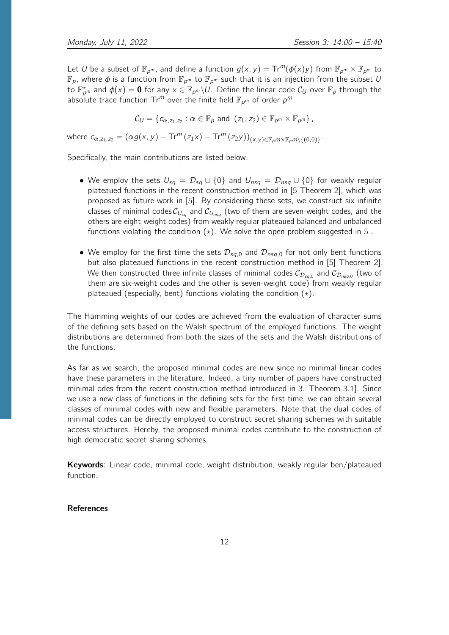Let U be a subset of  $\mathbb{F}_{p^m}$ , and define a function  $g(x, y) = Tr^m(\phi(x)y)$  from  $\mathbb{F}_{p^m} \times \mathbb{F}_{p^m}$  to  $\mathbb{F}_p$ , where  $\phi$  is a function from  $\mathbb{F}_{p^m}$  to  $\mathbb{F}_{p^m}$  such that it is an injection from the subset U to  $\mathbb{F}_{p^m}^\star$  and  $\phi(x)=\mathbf{0}$  for any  $x\in \mathbb{F}_{p^m}\backslash U$ . Define the linear code  $\mathcal{C}_U$  over  $\mathbb{F}_p$  through the absolute trace function  $\text{Tr}^m$  over the finite field  $\mathbb{F}_{p^m}$  of order  $p^m$ .

$$
\mathcal{C}_U = \{c_{\alpha,z_1,z_2} : \alpha \in \mathbb{F}_p \text{ and } (z_1,z_2) \in \mathbb{F}_{p^m} \times \mathbb{F}_{p^m} \},
$$

where  $c_{\alpha,z_1,z_2} = \left(\alpha g(x,y) - \text{Tr}^m\left(z_1 x\right) - \text{Tr}^m\left(z_2 y\right)\right)_{(x,y)\in \mathbb{F}_p m \times \mathbb{F}_p m \setminus \{(0,0)\}}.$ 

Specifically, the main contributions are listed below.

- We employ the sets  $U_{sq} = \mathcal{D}_{sq} \cup \{0\}$  and  $U_{nsq} = \mathcal{D}_{nsq} \cup \{0\}$  for weakly regular plateaued functions in the recent construction method in [5 Theorem 2], which was proposed as future work in [5]. By considering these sets, we construct six infinite classes of minimal codes  $\mathcal{C}_{U_{sg}}$  and  $\mathcal{C}_{U_{nsq}}$  (two of them are seven-weight codes, and the others are eight-weight codes) from weakly regular plateaued balanced and unbalanced functions violating the condition  $(*)$ . We solve the open problem suggested in 5.
- We employ for the first time the sets  $\mathcal{D}_{sa,0}$  and  $\mathcal{D}_{nsa,0}$  for not only bent functions but also plateaued functions in the recent construction method in [5] Theorem 2]. We then constructed three infinite classes of minimal codes  $\mathcal{C}_{\mathcal{D}_{sq,0}}$  and  $\mathcal{C}_{\mathcal{D}_{nsq,0}}$  (two of them are six-weight codes and the other is seven-weight code) from weakly regular plateaued (especially, bent) functions violating the condition  $(\star)$ .

The Hamming weights of our codes are achieved from the evaluation of character sums of the defining sets based on the Walsh spectrum of the employed functions. The weight distributions are determined from both the sizes of the sets and the Walsh distributions of the functions.

As far as we search, the proposed minimal codes are new since no minimal linear codes have these parameters in the literature. Indeed, a tiny number of papers have constructed minimal odes from the recent construction method introduced in 3. Theorem 3.1]. Since we use a new class of functions in the defining sets for the first time, we can obtain several classes of minimal codes with new and flexible parameters. Note that the dual codes of minimal codes can be directly employed to construct secret sharing schemes with suitable access structures. Hereby, the proposed minimal codes contribute to the construction of high democratic secret sharing schemes.

Keywords: Linear code, minimal code, weight distribution, weakly regular ben/plateaued function.

#### References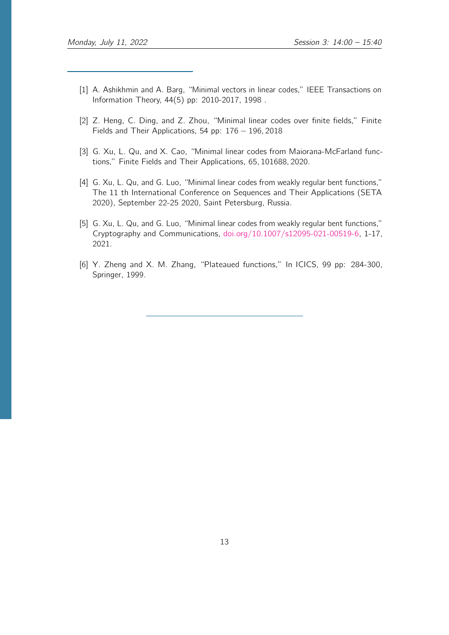- [1] A. Ashikhmin and A. Barg, "Minimal vectors in linear codes," IEEE Transactions on Information Theory, 44(5) pp: 2010-2017, 1998 .
- [2] Z. Heng, C. Ding, and Z. Zhou, "Minimal linear codes over finite fields," Finite Fields and Their Applications, 54 pp: 176 − 196, 2018
- [3] G. Xu, L. Qu, and X. Cao, "Minimal linear codes from Maiorana-McFarland functions," Finite Fields and Their Applications, 65, 101688, 2020.
- [4] G. Xu, L. Qu, and G. Luo, "Minimal linear codes from weakly regular bent functions," The 11 th International Conference on Sequences and Their Applications (SETA 2020), September 22-25 2020, Saint Petersburg, Russia.
- [5] G. Xu, L. Qu, and G. Luo, "Minimal linear codes from weakly regular bent functions," Cryptography and Communications, [doi.org/10.1007/s12095-021-00519-6,](http://doi.org/10.1007/s12095-021-00519-6) 1-17, 2021.
- [6] Y. Zheng and X. M. Zhang, "Plateaued functions," In ICICS, 99 pp: 284-300, Springer, 1999.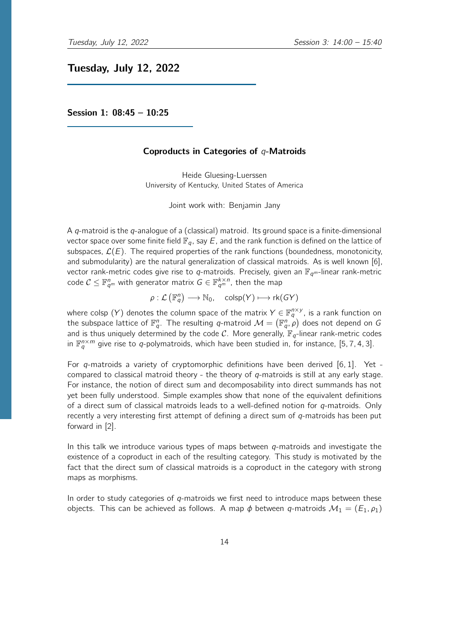## <span id="page-16-3"></span><span id="page-16-0"></span>Tuesday, July 12, 2022

<span id="page-16-2"></span><span id="page-16-1"></span>Session 1: 08:45 – 10:25

#### Coproducts in Categories of q-Matroids

Heide Gluesing-Luerssen University of Kentucky, United States of America

Joint work with: Benjamin Jany

A  $q$ -matroid is the  $q$ -analogue of a (classical) matroid. Its ground space is a finite-dimensional vector space over some finite field  $\mathbb{F}_q$ , say E, and the rank function is defined on the lattice of subspaces,  $\mathcal{L}(E)$ . The required properties of the rank functions (boundedness, monotonicity, and submodularity) are the natural generalization of classical matroids. As is well known [6], vector rank-metric codes give rise to q-matroids. Precisely, given an  $\mathbb{F}_{q^m}$ -linear rank-metric code  $\mathcal{C} \leq \mathbb{F}_{q^m}^n$  with generator matrix  $G \in \mathbb{F}_{q^m}^{k \times n}$ , then the map

$$
\rho: \mathcal{L}(\mathbb{F}_q^n) \longrightarrow \mathbb{N}_0, \quad \text{colsp}(Y) \longmapsto \text{rk}(GY)
$$

where colsp  $(Y)$  denotes the column space of the matrix  $Y \in \mathbb{F}_q^{n \times y}$ , is a rank function on the subspace lattice of  $\mathbb{F}_q^n$ . The resulting  $q$ -matroid  $\mathcal{M} = (\mathbb{F}_q^n, \rho)$  does not depend on  $G$ and is thus uniquely determined by the code C. More generally,  $\mathbb{F}_q$ -linear rank-metric codes in  $\mathbb{F}_q^{n \times m}$  give rise to q-polymatroids, which have been studied in, for instance, [5, 7, 4, 3].

For q-matroids a variety of cryptomorphic definitions have been derived [6, 1]. Yet compared to classical matroid theory - the theory of  $q$ -matroids is still at any early stage. For instance, the notion of direct sum and decomposability into direct summands has not yet been fully understood. Simple examples show that none of the equivalent definitions of a direct sum of classical matroids leads to a well-defined notion for  $q$ -matroids. Only recently a very interesting first attempt of defining a direct sum of  $q$ -matroids has been put forward in [2].

In this talk we introduce various types of maps between  $q$ -matroids and investigate the existence of a coproduct in each of the resulting category. This study is motivated by the fact that the direct sum of classical matroids is a coproduct in the category with strong maps as morphisms.

In order to study categories of  $q$ -matroids we first need to introduce maps between these objects. This can be achieved as follows. A map  $\phi$  between q-matroids  $\mathcal{M}_1 = (E_1, \rho_1)$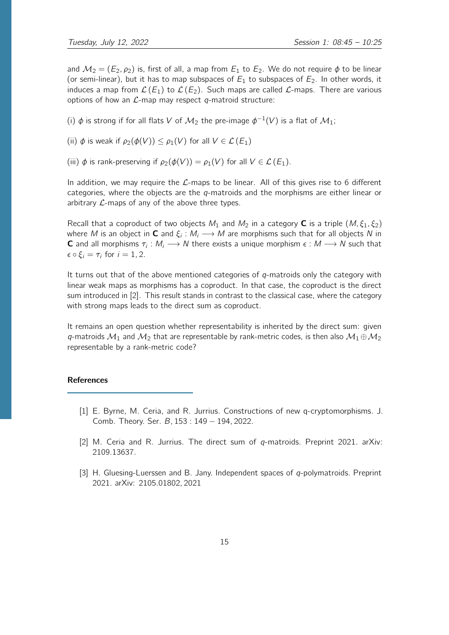and  $M_2 = (E_2, \rho_2)$  is, first of all, a map from  $E_1$  to  $E_2$ . We do not require  $\phi$  to be linear (or semi-linear), but it has to map subspaces of  $E_1$  to subspaces of  $E_2$ . In other words, it induces a map from  $\mathcal{L}(E_1)$  to  $\mathcal{L}(E_2)$ . Such maps are called  $\mathcal{L}$ -maps. There are various options of how an  $\mathcal{L}$ -map may respect q-matroid structure:

(i)  $\phi$  is strong if for all flats V of  $\mathcal{M}_2$  the pre-image  $\phi^{-1}(V)$  is a flat of  $\mathcal{M}_1$ ;

(ii)  $\phi$  is weak if  $\rho_2(\phi(V)) \leq \rho_1(V)$  for all  $V \in \mathcal{L}(E_1)$ 

(iii)  $\phi$  is rank-preserving if  $\rho_2(\phi(V)) = \rho_1(V)$  for all  $V \in \mathcal{L}(E_1)$ .

In addition, we may require the  $\mathcal{L}$ -maps to be linear. All of this gives rise to 6 different categories, where the objects are the  $q$ -matroids and the morphisms are either linear or arbitrary  $\mathcal{L}$ -maps of any of the above three types.

Recall that a coproduct of two objects  $M_1$  and  $M_2$  in a category **C** is a triple  $(M, \xi_1, \xi_2)$ where  $M$  is an object in  ${\mathsf C}$  and  $\xi_i: M_i \longrightarrow M$  are morphisms such that for all objects  $N$  in **C** and all morphisms  $\tau_i : M_i \longrightarrow N$  there exists a unique morphism  $\epsilon : M \longrightarrow N$  such that  $\epsilon \circ \xi_i = \tau_i$  for  $i = 1, 2$ .

It turns out that of the above mentioned categories of  $q$ -matroids only the category with linear weak maps as morphisms has a coproduct. In that case, the coproduct is the direct sum introduced in [2]. This result stands in contrast to the classical case, where the category with strong maps leads to the direct sum as coproduct.

It remains an open question whether representability is inherited by the direct sum: given q-matroids  $\mathcal{M}_1$  and  $\mathcal{M}_2$  that are representable by rank-metric codes, is then also  $\mathcal{M}_1 \oplus \mathcal{M}_2$ representable by a rank-metric code?

#### **References**

- [1] E. Byrne, M. Ceria, and R. Jurrius. Constructions of new q-cryptomorphisms. J. Comb. Theory. Ser. B, 153 : 149 − 194, 2022.
- [2] M. Ceria and R. Jurrius. The direct sum of  $q$ -matroids. Preprint 2021. arXiv: 2109.13637.
- [3] H. Gluesing-Luerssen and B. Jany. Independent spaces of q-polymatroids. Preprint 2021. arXiv: 2105.01802, 2021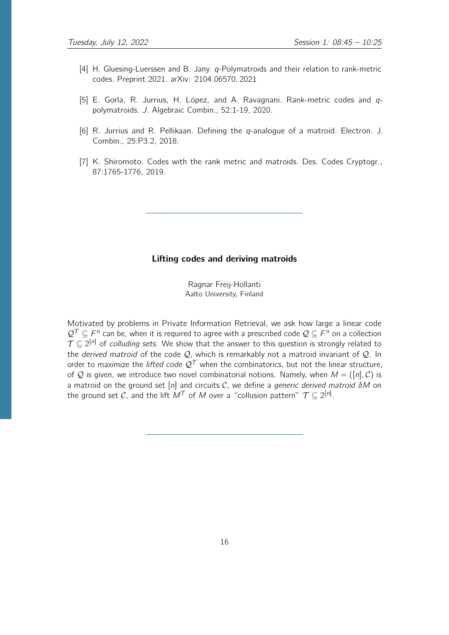- <span id="page-18-1"></span>[4] H. Gluesing-Luerssen and B. Jany. q-Polymatroids and their relation to rank-metric codes. Preprint 2021. arXiv: 2104.06570, 2021
- [5] E. Gorla, R. Jurrius, H. López, and A. Ravagnani. Rank-metric codes and  $q$ polymatroids. J. Algebraic Combin., 52:1-19, 2020.
- [6] R. Jurrius and R. Pellikaan. Defining the q-analogue of a matroid. Electron. J. Combin., 25:P3.2, 2018.
- [7] K. Shiromoto. Codes with the rank metric and matroids. Des. Codes Cryptogr., 87:1765-1776, 2019.

#### Lifting codes and deriving matroids

Ragnar Freij-Hollanti Aalto University, Finland

<span id="page-18-0"></span>Motivated by problems in Private Information Retrieval, we ask how large a linear code  $\mathcal{Q}^{\mathcal{T}} \subseteq F^n$  can be, when it is required to agree with a prescribed code  $\mathcal{Q} \subseteq F^n$  on a collection  $\mathcal{T} \subseteq 2^{[n]}$  of colluding sets. We show that the answer to this question is strongly related to the derived matroid of the code  $Q$ , which is remarkably not a matroid invariant of  $Q$ . In order to maximize the *lifted code*  $\mathcal{Q}^{\mathcal{T}}$  when the combinatorics, but not the linear structure, of Q is given, we introduce two novel combinatorial notions. Namely, when  $M = ([n], \mathcal{C})$  is a matroid on the ground set  $[n]$  and circuits C, we define a generic derived matroid  $\delta M$  on the ground set  $\mathcal C$ , and the lift  $M^{\mathcal T}$  of  $M$  over a "collusion pattern"  $\mathcal T\subseteq 2^{[n]}.$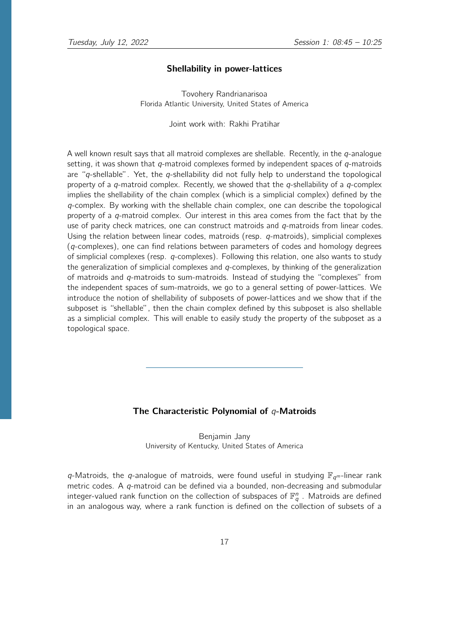#### Shellability in power-lattices

<span id="page-19-2"></span><span id="page-19-0"></span>Tovohery Randrianarisoa Florida Atlantic University, United States of America

Joint work with: Rakhi Pratihar

A well known result says that all matroid complexes are shellable. Recently, in the  $q$ -analogue setting, it was shown that  $q$ -matroid complexes formed by independent spaces of  $q$ -matroids are " $q$ -shellable". Yet, the  $q$ -shellability did not fully help to understand the topological property of a  $q$ -matroid complex. Recently, we showed that the  $q$ -shellability of a  $q$ -complex implies the shellability of the chain complex (which is a simplicial complex) defined by the  $q$ -complex. By working with the shellable chain complex, one can describe the topological property of a  $q$ -matroid complex. Our interest in this area comes from the fact that by the use of parity check matrices, one can construct matroids and  $q$ -matroids from linear codes. Using the relation between linear codes, matroids (resp.  $q$ -matroids), simplicial complexes  $(q$ -complexes), one can find relations between parameters of codes and homology degrees of simplicial complexes (resp.  $q$ -complexes). Following this relation, one also wants to study the generalization of simplicial complexes and  $q$ -complexes, by thinking of the generalization of matroids and q-matroids to sum-matroids. Instead of studying the "complexes" from the independent spaces of sum-matroids, we go to a general setting of power-lattices. We introduce the notion of shellability of subposets of power-lattices and we show that if the subposet is "shellable", then the chain complex defined by this subposet is also shellable as a simplicial complex. This will enable to easily study the property of the subposet as a topological space.

#### <span id="page-19-1"></span>The Characteristic Polynomial of  $q$ -Matroids

Benjamin Jany University of Kentucky, United States of America

q-Matroids, the q-analogue of matroids, were found useful in studying  $\mathbb{F}_{q^m}$ -linear rank metric codes. A  $q$ -matroid can be defined via a bounded, non-decreasing and submodular integer-valued rank function on the collection of subspaces of  $\mathbb{F}_q^n$  . Matroids are defined in an analogous way, where a rank function is defined on the collection of subsets of a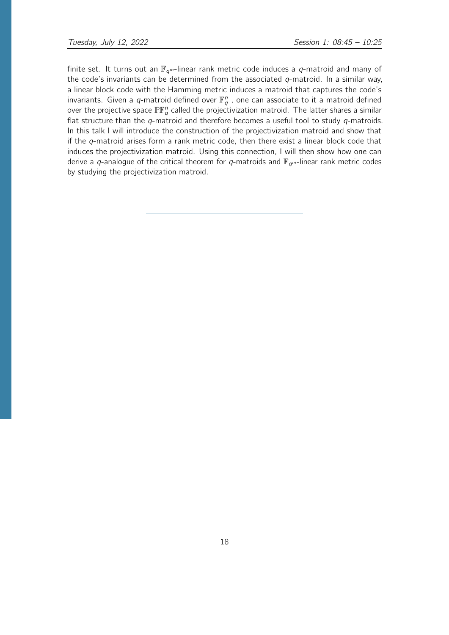finite set. It turns out an  $\mathbb{F}_{q^m}$ -linear rank metric code induces a q-matroid and many of the code's invariants can be determined from the associated  $q$ -matroid. In a similar way, a linear block code with the Hamming metric induces a matroid that captures the code's invariants. Given a q-matroid defined over  $\mathbb{F}_q^n$  , one can associate to it a matroid defined over the projective space  $\mathbb{PF}^n_q$  called the projectivization matroid. The latter shares a similar flat structure than the  $q$ -matroid and therefore becomes a useful tool to study  $q$ -matroids. In this talk I will introduce the construction of the projectivization matroid and show that if the q-matroid arises form a rank metric code, then there exist a linear block code that induces the projectivization matroid. Using this connection, I will then show how one can derive a q-analogue of the critical theorem for q-matroids and  $\mathbb{F}_{q^m}$ -linear rank metric codes by studying the projectivization matroid.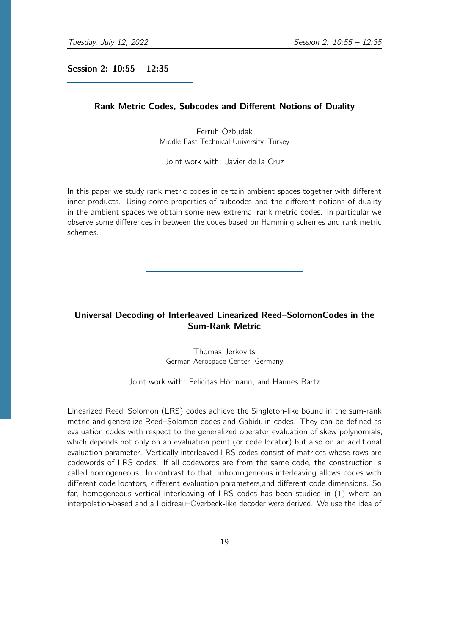#### <span id="page-21-3"></span><span id="page-21-1"></span><span id="page-21-0"></span>Session 2: 10:55 – 12:35

#### Rank Metric Codes, Subcodes and Different Notions of Duality

Ferruh Ozbudak ¨ Middle East Technical University, Turkey

Joint work with: Javier de la Cruz

In this paper we study rank metric codes in certain ambient spaces together with different inner products. Using some properties of subcodes and the different notions of duality in the ambient spaces we obtain some new extremal rank metric codes. In particular we observe some differences in between the codes based on Hamming schemes and rank metric schemes.

## <span id="page-21-2"></span>Universal Decoding of Interleaved Linearized Reed–SolomonCodes in the Sum-Rank Metric

Thomas Jerkovits German Aerospace Center, Germany

Joint work with: Felicitas Hörmann, and Hannes Bartz

Linearized Reed–Solomon (LRS) codes achieve the Singleton-like bound in the sum-rank metric and generalize Reed–Solomon codes and Gabidulin codes. They can be defined as evaluation codes with respect to the generalized operator evaluation of skew polynomials, which depends not only on an evaluation point (or code locator) but also on an additional evaluation parameter. Vertically interleaved LRS codes consist of matrices whose rows are codewords of LRS codes. If all codewords are from the same code, the construction is called homogeneous. In contrast to that, inhomogeneous interleaving allows codes with different code locators, different evaluation parameters,and different code dimensions. So far, homogeneous vertical interleaving of LRS codes has been studied in [\(1\)](#page-22-0) where an interpolation-based and a Loidreau–Overbeck-like decoder were derived. We use the idea of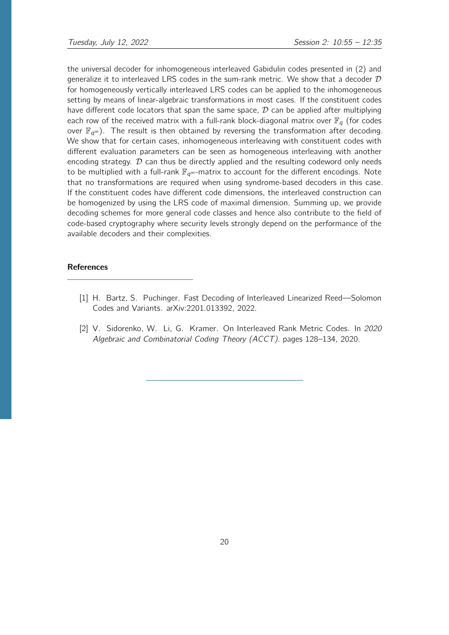the universal decoder for inhomogeneous interleaved Gabidulin codes presented in [\(2\)](#page-22-1) and generalize it to interleaved LRS codes in the sum-rank metric. We show that a decoder  $D$ for homogeneously vertically interleaved LRS codes can be applied to the inhomogeneous setting by means of linear-algebraic transformations in most cases. If the constituent codes have different code locators that span the same space,  $D$  can be applied after multiplying each row of the received matrix with a full-rank block-diagonal matrix over  $\mathbb{F}_q$  (for codes over  $\mathbb{F}_{q^m}$ ). The result is then obtained by reversing the transformation after decoding. We show that for certain cases, inhomogeneous interleaving with constituent codes with different evaluation parameters can be seen as homogeneous interleaving with another encoding strategy.  $D$  can thus be directly applied and the resulting codeword only needs to be multiplied with a full-rank  $\mathbb{F}_{q^m}$ -matrix to account for the different encodings. Note that no transformations are required when using syndrome-based decoders in this case. If the constituent codes have different code dimensions, the interleaved construction can be homogenized by using the LRS code of maximal dimension. Summing up, we provide decoding schemes for more general code classes and hence also contribute to the field of code-based cryptography where security levels strongly depend on the performance of the available decoders and their complexities.

#### References

- <span id="page-22-0"></span>[1] H. Bartz, S. Puchinger. Fast Decoding of Interleaved Linearized Reed—Solomon Codes and Variants. arXiv:2201.013392, 2022.
- <span id="page-22-1"></span>[2] V. Sidorenko, W. Li, G. Kramer. On Interleaved Rank Metric Codes. In 2020 Algebraic and Combinatorial Coding Theory (ACCT). pages 128–134, 2020.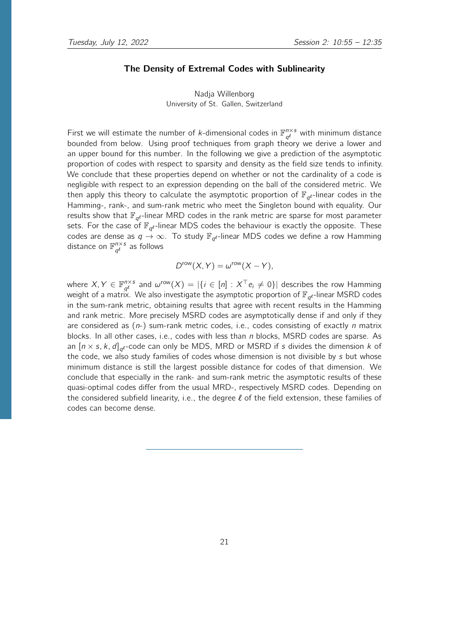#### <span id="page-23-1"></span><span id="page-23-0"></span>The Density of Extremal Codes with Sublinearity

Nadja Willenborg University of St. Gallen, Switzerland

First we will estimate the number of k-dimensional codes in  $\mathbb{F}_{\alpha}^{n \times s}$  $\frac{d}{d\ell}^{\alpha\times s}$  with minimum distance bounded from below. Using proof techniques from graph theory we derive a lower and an upper bound for this number. In the following we give a prediction of the asymptotic proportion of codes with respect to sparsity and density as the field size tends to infinity. We conclude that these properties depend on whether or not the cardinality of a code is negligible with respect to an expression depending on the ball of the considered metric. We then apply this theory to calculate the asymptotic proportion of  $\mathbb{F}_{q^{\ell}}$ -linear codes in the Hamming-, rank-, and sum-rank metric who meet the Singleton bound with equality. Our results show that  $\mathbb{F}_{q^{\ell}}$ -linear MRD codes in the rank metric are sparse for most parameter sets. For the case of  $\mathbb{F}_{q^{\ell}}$ -linear MDS codes the behaviour is exactly the opposite. These codes are dense as  $q \to \infty$ . To study  $\mathbb{F}_{q^{\ell}}$ -linear MDS codes we define a row Hamming distance on  $\mathbb{F}_{a}^{n\times s}$  $\frac{a^{n\times s}}{q^{\ell}}$  as follows

$$
D^{\text{row}}(X,Y) = \omega^{\text{row}}(X-Y),
$$

where  $X, Y \in \mathbb{F}_{a}^{n \times s}$  $q_\ell^{n \times s}$  and  $\omega^{\text{row}}(X) = |\{i \in [n] : X^\top e_i \neq 0\}|$  describes the row Hamming weight of a matrix. We also investigate the asymptotic proportion of  $\mathbb{F}_{q^{\ell}}$ -linear MSRD codes in the sum-rank metric, obtaining results that agree with recent results in the Hamming and rank metric. More precisely MSRD codes are asymptotically dense if and only if they are considered as  $(n-)$  sum-rank metric codes, i.e., codes consisting of exactly n matrix blocks. In all other cases, i.e., codes with less than  $n$  blocks, MSRD codes are sparse. As an  $[n \times s, k, d]_{q^{\ell}}$ -code can only be MDS, MRD or MSRD if s divides the dimension k of the code, we also study families of codes whose dimension is not divisible by  $s$  but whose minimum distance is still the largest possible distance for codes of that dimension. We conclude that especially in the rank- and sum-rank metric the asymptotic results of these quasi-optimal codes differ from the usual MRD-, respectively MSRD codes. Depending on the considered subfield linearity, i.e., the degree  $\ell$  of the field extension, these families of codes can become dense.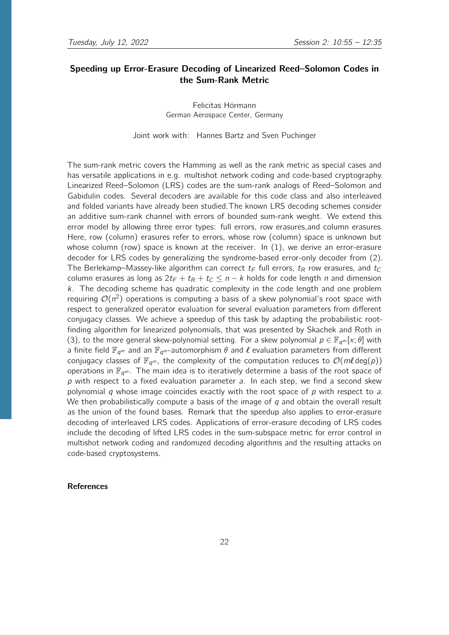## <span id="page-24-1"></span><span id="page-24-0"></span>Speeding up Error-Erasure Decoding of Linearized Reed–Solomon Codes in the Sum-Rank Metric

Felicitas Hörmann German Aerospace Center, Germany

Joint work with: Hannes Bartz and Sven Puchinger

The sum-rank metric covers the Hamming as well as the rank metric as special cases and has versatile applications in e.g. multishot network coding and code-based cryptography. Linearized Reed–Solomon (LRS) codes are the sum-rank analogs of Reed–Solomon and Gabidulin codes. Several decoders are available for this code class and also interleaved and folded variants have already been studied.The known LRS decoding schemes consider an additive sum-rank channel with errors of bounded sum-rank weight. We extend this error model by allowing three error types: full errors, row erasures,and column erasures. Here, row (column) erasures refer to errors, whose row (column) space is unknown but whose column (row) space is known at the receiver. In  $(1)$ , we derive an error-erasure decoder for LRS codes by generalizing the syndrome-based error-only decoder from [\(2\)](#page-25-1). The Berlekamp–Massey-like algorithm can correct  $t_F$  full errors,  $t_R$  row erasures, and  $t_C$ column erasures as long as  $2t_F + t_R + t_C \leq n - k$  holds for code length *n* and dimension k. The decoding scheme has quadratic complexity in the code length and one problem requiring  $\mathcal{O}(n^2)$  operations is computing a basis of a skew polynomial's root space with respect to generalized operator evaluation for several evaluation parameters from different conjugacy classes. We achieve a speedup of this task by adapting the probabilistic rootfinding algorithm for linearized polynomials, that was presented by Skachek and Roth in [\(3\)](#page-25-2), to the more general skew-polynomial setting. For a skew polynomial  $p \in \mathbb{F}_{q^m}[x; \theta]$  with a finite field  $\mathbb{F}_{q^m}$  and an  $\mathbb{F}_{q^m}$ -automorphism  $\theta$  and  $\ell$  evaluation parameters from different conjugacy classes of  $\mathbb{F}_{q^m}$ , the complexity of the computation reduces to  $\mathcal{O}(m\ell \deg(p))$ operations in  $\mathbb{F}_{q^m}$ . The main idea is to iteratively determine a basis of the root space of  $p$  with respect to a fixed evaluation parameter  $a$ . In each step, we find a second skew polynomial  $q$  whose image coincides exactly with the root space of  $p$  with respect to  $a$ . We then probabilistically compute a basis of the image of  $q$  and obtain the overall result as the union of the found bases. Remark that the speedup also applies to error-erasure decoding of interleaved LRS codes. Applications of error-erasure decoding of LRS codes include the decoding of lifted LRS codes in the sum-subspace metric for error control in multishot network coding and randomized decoding algorithms and the resulting attacks on code-based cryptosystems.

#### **References**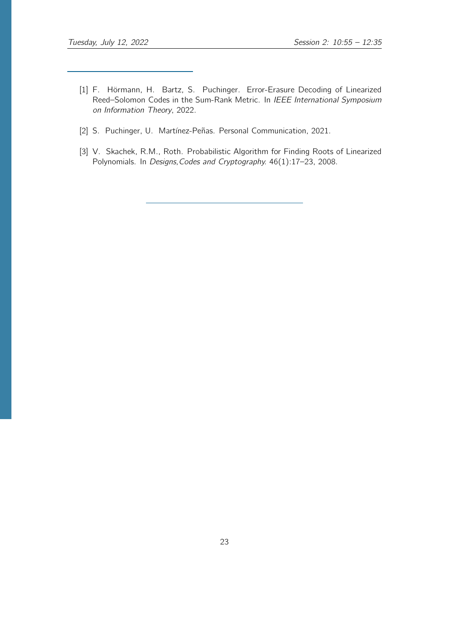- <span id="page-25-0"></span>[1] F. Hörmann, H. Bartz, S. Puchinger. Error-Erasure Decoding of Linearized Reed–Solomon Codes in the Sum-Rank Metric. In IEEE International Symposium on Information Theory, 2022.
- <span id="page-25-1"></span>[2] S. Puchinger, U. Martínez-Peñas. Personal Communication, 2021.
- <span id="page-25-2"></span>[3] V. Skachek, R.M., Roth. Probabilistic Algorithm for Finding Roots of Linearized Polynomials. In *Designs, Codes and Cryptography.* 46(1):17-23, 2008.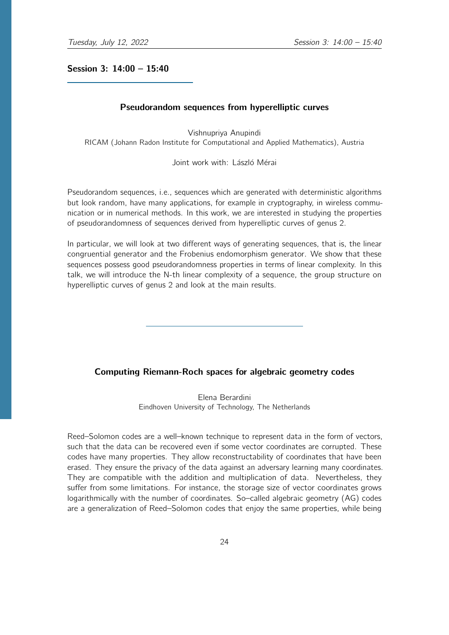#### <span id="page-26-3"></span><span id="page-26-1"></span><span id="page-26-0"></span>Session 3: 14:00 – 15:40

#### Pseudorandom sequences from hyperelliptic curves

Vishnupriya Anupindi RICAM (Johann Radon Institute for Computational and Applied Mathematics), Austria

Joint work with: László Mérai

Pseudorandom sequences, i.e., sequences which are generated with deterministic algorithms but look random, have many applications, for example in cryptography, in wireless communication or in numerical methods. In this work, we are interested in studying the properties of pseudorandomness of sequences derived from hyperelliptic curves of genus 2.

In particular, we will look at two different ways of generating sequences, that is, the linear congruential generator and the Frobenius endomorphism generator. We show that these sequences possess good pseudorandomness properties in terms of linear complexity. In this talk, we will introduce the N-th linear complexity of a sequence, the group structure on hyperelliptic curves of genus 2 and look at the main results.

#### <span id="page-26-2"></span>Computing Riemann-Roch spaces for algebraic geometry codes

Elena Berardini Eindhoven University of Technology, The Netherlands

Reed–Solomon codes are a well–known technique to represent data in the form of vectors, such that the data can be recovered even if some vector coordinates are corrupted. These codes have many properties. They allow reconstructability of coordinates that have been erased. They ensure the privacy of the data against an adversary learning many coordinates. They are compatible with the addition and multiplication of data. Nevertheless, they suffer from some limitations. For instance, the storage size of vector coordinates grows logarithmically with the number of coordinates. So–called algebraic geometry (AG) codes are a generalization of Reed–Solomon codes that enjoy the same properties, while being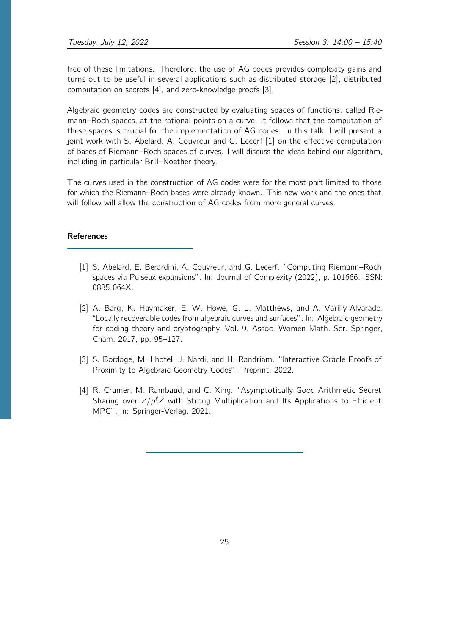free of these limitations. Therefore, the use of AG codes provides complexity gains and turns out to be useful in several applications such as distributed storage [2], distributed computation on secrets [4], and zero-knowledge proofs [3].

Algebraic geometry codes are constructed by evaluating spaces of functions, called Riemann–Roch spaces, at the rational points on a curve. It follows that the computation of these spaces is crucial for the implementation of AG codes. In this talk, I will present a joint work with S. Abelard, A. Couvreur and G. Lecerf [1] on the effective computation of bases of Riemann–Roch spaces of curves. I will discuss the ideas behind our algorithm, including in particular Brill–Noether theory.

The curves used in the construction of AG codes were for the most part limited to those for which the Riemann–Roch bases were already known. This new work and the ones that will follow will allow the construction of AG codes from more general curves.

#### **References**

- [1] S. Abelard, E. Berardini, A. Couvreur, and G. Lecerf. "Computing Riemann–Roch spaces via Puiseux expansions". In: Journal of Complexity (2022), p. 101666. ISSN: 0885-064X.
- [2] A. Barg, K. Haymaker, E. W. Howe, G. L. Matthews, and A. Várilly-Alvarado. "Locally recoverable codes from algebraic curves and surfaces". In: Algebraic geometry for coding theory and cryptography. Vol. 9. Assoc. Women Math. Ser. Springer, Cham, 2017, pp. 95–127.
- [3] S. Bordage, M. Lhotel, J. Nardi, and H. Randriam. "Interactive Oracle Proofs of Proximity to Algebraic Geometry Codes". Preprint. 2022.
- [4] R. Cramer, M. Rambaud, and C. Xing. "Asymptotically-Good Arithmetic Secret Sharing over  $Z/p^{\ell}Z$  with Strong Multiplication and Its Applications to Efficient MPC". In: Springer-Verlag, 2021.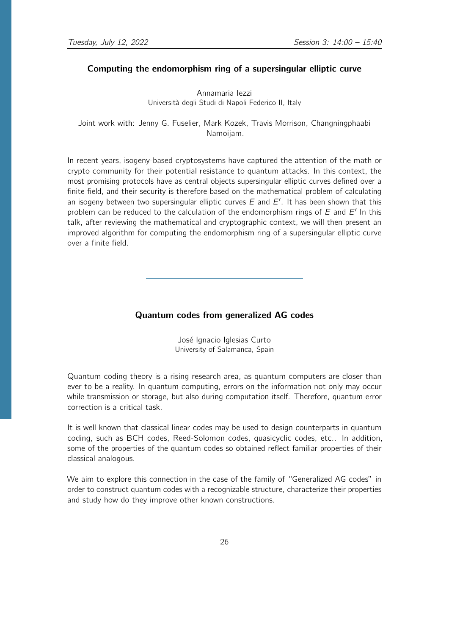#### <span id="page-28-2"></span><span id="page-28-0"></span>Computing the endomorphism ring of a supersingular elliptic curve

Annamaria Iezzi Università degli Studi di Napoli Federico II, Italy

Joint work with: Jenny G. Fuselier, Mark Kozek, Travis Morrison, Changningphaabi Namoijam.

In recent years, isogeny-based cryptosystems have captured the attention of the math or crypto community for their potential resistance to quantum attacks. In this context, the most promising protocols have as central objects supersingular elliptic curves defined over a finite field, and their security is therefore based on the mathematical problem of calculating an isogeny between two supersingular elliptic curves  $E$  and  $E'$ . It has been shown that this problem can be reduced to the calculation of the endomorphism rings of  $E$  and  $E'$  In this talk, after reviewing the mathematical and cryptographic context, we will then present an improved algorithm for computing the endomorphism ring of a supersingular elliptic curve over a finite field.

#### <span id="page-28-1"></span>Quantum codes from generalized AG codes

José Ignacio Iglesias Curto University of Salamanca, Spain

Quantum coding theory is a rising research area, as quantum computers are closer than ever to be a reality. In quantum computing, errors on the information not only may occur while transmission or storage, but also during computation itself. Therefore, quantum error correction is a critical task.

It is well known that classical linear codes may be used to design counterparts in quantum coding, such as BCH codes, Reed-Solomon codes, quasicyclic codes, etc.. In addition, some of the properties of the quantum codes so obtained reflect familiar properties of their classical analogous.

We aim to explore this connection in the case of the family of "Generalized AG codes" in order to construct quantum codes with a recognizable structure, characterize their properties and study how do they improve other known constructions.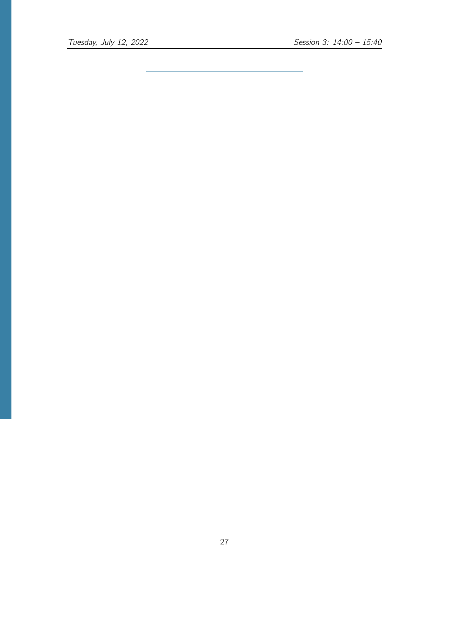27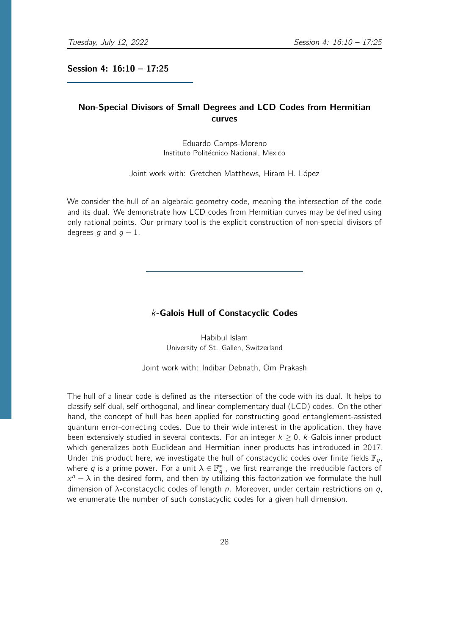<span id="page-30-3"></span><span id="page-30-0"></span>Session 4: 16:10 – 17:25

## <span id="page-30-1"></span>Non-Special Divisors of Small Degrees and LCD Codes from Hermitian curves

Eduardo Camps-Moreno Instituto Politécnico Nacional, Mexico

Joint work with: Gretchen Matthews, Hiram H. López

We consider the hull of an algebraic geometry code, meaning the intersection of the code and its dual. We demonstrate how LCD codes from Hermitian curves may be defined using only rational points. Our primary tool is the explicit construction of non-special divisors of degrees g and  $g - 1$ .

#### <span id="page-30-2"></span>k-Galois Hull of Constacyclic Codes

Habibul Islam University of St. Gallen, Switzerland

Joint work with: Indibar Debnath, Om Prakash

The hull of a linear code is defined as the intersection of the code with its dual. It helps to classify self-dual, self-orthogonal, and linear complementary dual (LCD) codes. On the other hand, the concept of hull has been applied for constructing good entanglement-assisted quantum error-correcting codes. Due to their wide interest in the application, they have been extensively studied in several contexts. For an integer  $k \geq 0$ , k-Galois inner product which generalizes both Euclidean and Hermitian inner products has introduced in 2017. Under this product here, we investigate the hull of constacyclic codes over finite fields  $\mathbb{F}_q$ , where q is a prime power. For a unit  $\lambda \in \mathbb{F}^*_q$  , we first rearrange the irreducible factors of  $x^{n} - \lambda$  in the desired form, and then by utilizing this factorization we formulate the hull dimension of  $\lambda$ -constacyclic codes of length n. Moreover, under certain restrictions on q, we enumerate the number of such constacyclic codes for a given hull dimension.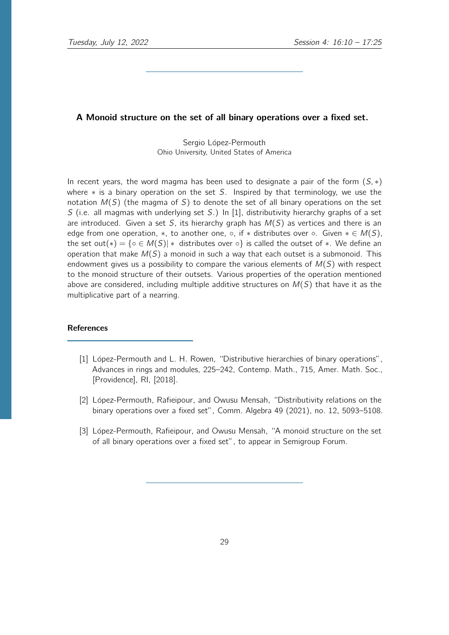#### <span id="page-31-1"></span><span id="page-31-0"></span>A Monoid structure on the set of all binary operations over a fixed set.

Sergio López-Permouth Ohio University, United States of America

In recent years, the word magma has been used to designate a pair of the form  $(S, *)$ where  $*$  is a binary operation on the set S. Inspired by that terminology, we use the notation  $M(S)$  (the magma of S) to denote the set of all binary operations on the set S (i.e. all magmas with underlying set S.) In [1], distributivity hierarchy graphs of a set are introduced. Given a set S, its hierarchy graph has  $M(S)$  as vertices and there is an edge from one operation, \*, to another one,  $\circ$ , if \* distributes over  $\circ$ . Given  $* \in M(S)$ , the set out(\*) = {◦ ∈  $M(S)|$  \* distributes over ∘} is called the outset of \*. We define an operation that make  $M(S)$  a monoid in such a way that each outset is a submonoid. This endowment gives us a possibility to compare the various elements of  $M(S)$  with respect to the monoid structure of their outsets. Various properties of the operation mentioned above are considered, including multiple additive structures on  $M(S)$  that have it as the multiplicative part of a nearring.

#### References

- [1] López-Permouth and L. H. Rowen, "Distributive hierarchies of binary operations", Advances in rings and modules, 225–242, Contemp. Math., 715, Amer. Math. Soc., [Providence], RI, [2018].
- [2] López-Permouth, Rafieipour, and Owusu Mensah, "Distributivity relations on the binary operations over a fixed set", Comm. Algebra 49 (2021), no. 12, 5093–5108.
- [3] López-Permouth, Rafieipour, and Owusu Mensah, "A monoid structure on the set of all binary operations over a fixed set", to appear in Semigroup Forum.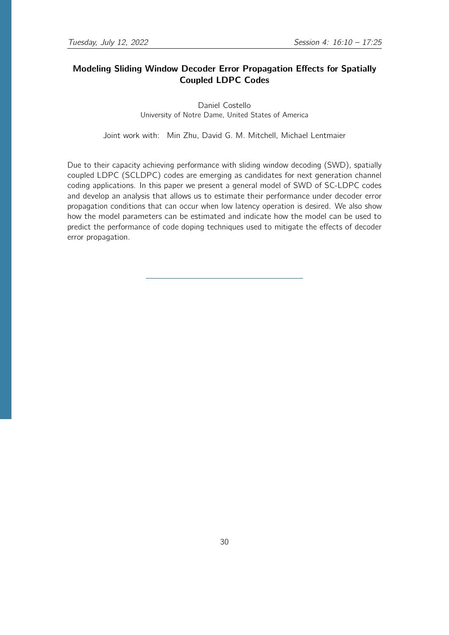## <span id="page-32-1"></span><span id="page-32-0"></span>Modeling Sliding Window Decoder Error Propagation Effects for Spatially Coupled LDPC Codes

Daniel Costello University of Notre Dame, United States of America

Joint work with: Min Zhu, David G. M. Mitchell, Michael Lentmaier

Due to their capacity achieving performance with sliding window decoding (SWD), spatially coupled LDPC (SCLDPC) codes are emerging as candidates for next generation channel coding applications. In this paper we present a general model of SWD of SC-LDPC codes and develop an analysis that allows us to estimate their performance under decoder error propagation conditions that can occur when low latency operation is desired. We also show how the model parameters can be estimated and indicate how the model can be used to predict the performance of code doping techniques used to mitigate the effects of decoder error propagation.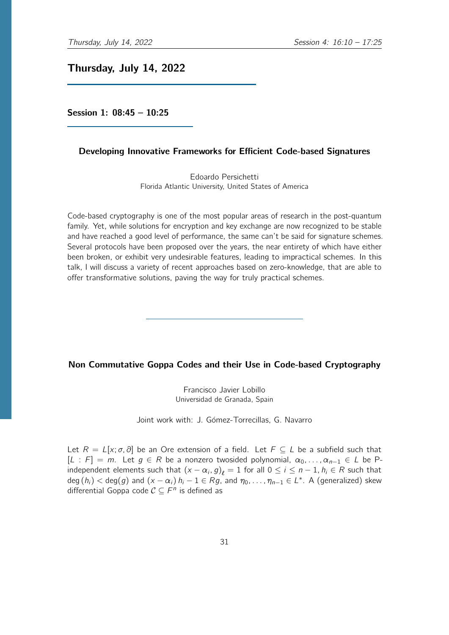## <span id="page-33-4"></span><span id="page-33-0"></span>Thursday, July 14, 2022

<span id="page-33-1"></span>Session 1: 08:45 – 10:25

#### <span id="page-33-2"></span>Developing Innovative Frameworks for Efficient Code-based Signatures

Edoardo Persichetti Florida Atlantic University, United States of America

Code-based cryptography is one of the most popular areas of research in the post-quantum family. Yet, while solutions for encryption and key exchange are now recognized to be stable and have reached a good level of performance, the same can't be said for signature schemes. Several protocols have been proposed over the years, the near entirety of which have either been broken, or exhibit very undesirable features, leading to impractical schemes. In this talk, I will discuss a variety of recent approaches based on zero-knowledge, that are able to offer transformative solutions, paving the way for truly practical schemes.

## <span id="page-33-3"></span>Non Commutative Goppa Codes and their Use in Code-based Cryptography

Francisco Javier Lobillo Universidad de Granada, Spain

Joint work with: J. Gómez-Torrecillas, G. Navarro

Let  $R = L[x; \sigma, \partial]$  be an Ore extension of a field. Let  $F \subseteq L$  be a subfield such that  $[L : F] = m$ . Let  $q \in R$  be a nonzero twosided polynomial,  $\alpha_0, \ldots, \alpha_{n-1} \in L$  be Pindependent elements such that  $(x - \alpha_i, g)_\ell = 1$  for all  $0 \le i \le n - 1$ ,  $h_i \in R$  such that deg  $(h_i) <$  deg $(g)$  and  $(x - \alpha_i) h_i - 1 \in Rg$ , and  $\eta_0, \ldots, \eta_{n-1} \in L^*$ . A (generalized) skew differential Goppa code  $C \subseteq F^n$  is defined as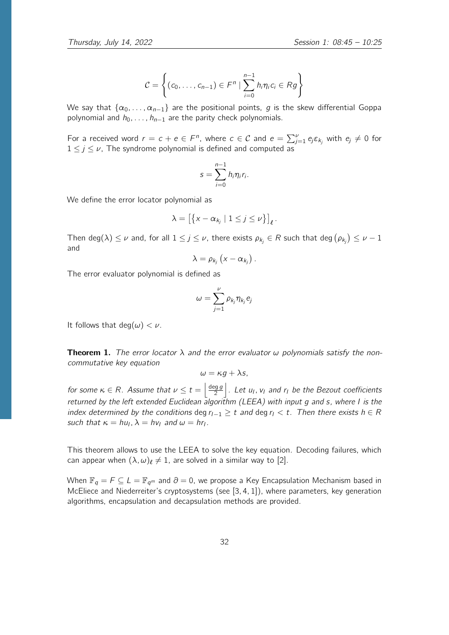$$
C = \left\{ (c_0, \ldots, c_{n-1}) \in F^n \mid \sum_{i=0}^{n-1} h_i \eta_i c_i \in Rg \right\}
$$

We say that  $\{\alpha_0, \ldots, \alpha_{n-1}\}$  are the positional points, g is the skew differential Goppa polynomial and  $h_0, \ldots, h_{n-1}$  are the parity check polynomials.

For a received word  $r = c + e \in F^n$ , where  $c \in C$  and  $e = \sum_{j=1}^{\nu} e_j \varepsilon_{k_j}$  with  $e_j \neq 0$  for  $1 \leq j \leq \nu$ , The syndrome polynomial is defined and computed as

$$
s=\sum_{i=0}^{n-1}h_i\eta_ir_i.
$$

We define the error locator polynomial as

$$
\lambda = \left[ \left\{ x - \alpha_{k_j} \mid 1 \leq j \leq \nu \right\} \right]_{\ell}.
$$

Then deg $(\lambda)\leq\nu$  and, for all  $1\leq j\leq \nu$ , there exists  $\rho_{k_j}\in R$  such that deg  $(\rho_{k_j})\leq \nu-1$ and

$$
\lambda = \rho_{k_j}\left(x - \alpha_{k_j}\right).
$$

The error evaluator polynomial is defined as

$$
\omega=\sum_{j=1}^\nu \rho_{k_j}\eta_{k_j}e_j
$$

It follows that  $deg(\omega) < \nu$ .

**Theorem 1.** The error locator  $\lambda$  and the error evaluator  $\omega$  polynomials satisfy the noncommutative key equation

$$
\omega = \kappa g + \lambda s,
$$

for some  $\kappa \in R$ . Assume that  $\nu \leq t = \left| \frac{\deg g}{2} \right|$  $\left\lfloor \frac{\log g}{2}\right\rfloor$ . Let u<sub>I</sub>, v<sub>I</sub> and r<sub>I</sub> be the Bezout coefficients returned by the left extended Euclidean algorithm (LEEA) with input g and s, where I is the index determined by the conditions deg  $r_{I-1} \geq t$  and deg  $r_I < t$ . Then there exists  $h \in R$ such that  $\kappa = h u_l$ ,  $\lambda = h v_l$  and  $\omega = h r_l$ .

This theorem allows to use the LEEA to solve the key equation. Decoding failures, which can appear when  $(\lambda, \omega)_\ell \neq 1$ , are solved in a similar way to [2].

When  $\mathbb{F}_q = F \subseteq L = \mathbb{F}_{q^m}$  and  $\partial = 0$ , we propose a Key Encapsulation Mechanism based in McEliece and Niederreiter's cryptosystems (see [3, 4, 1]), where parameters, key generation algorithms, encapsulation and decapsulation methods are provided.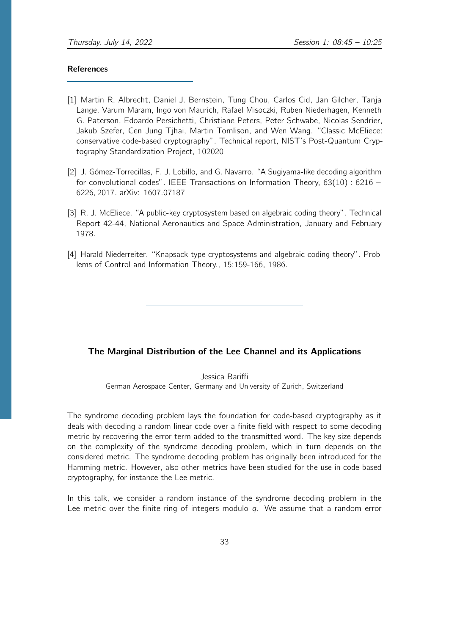#### <span id="page-35-1"></span>**References**

- [1] Martin R. Albrecht, Daniel J. Bernstein, Tung Chou, Carlos Cid, Jan Gilcher, Tanja Lange, Varum Maram, Ingo von Maurich, Rafael Misoczki, Ruben Niederhagen, Kenneth G. Paterson, Edoardo Persichetti, Christiane Peters, Peter Schwabe, Nicolas Sendrier, Jakub Szefer, Cen Jung Tjhai, Martin Tomlison, and Wen Wang. "Classic McEliece: conservative code-based cryptography". Technical report, NIST's Post-Quantum Cryptography Standardization Project, 102020
- [2] J. Gómez-Torrecillas, F. J. Lobillo, and G. Navarro. "A Sugiyama-like decoding algorithm for convolutional codes". IEEE Transactions on Information Theory,  $63(10): 6216 -$ 6226, 2017. arXiv: 1607.07187
- [3] R. J. McEliece. "A public-key cryptosystem based on algebraic coding theory". Technical Report 42-44, National Aeronautics and Space Administration, January and February 1978.
- [4] Harald Niederreiter. "Knapsack-type cryptosystems and algebraic coding theory". Problems of Control and Information Theory., 15:159-166, 1986.

## <span id="page-35-0"></span>The Marginal Distribution of the Lee Channel and its Applications

Jessica Bariffi

German Aerospace Center, Germany and University of Zurich, Switzerland

The syndrome decoding problem lays the foundation for code-based cryptography as it deals with decoding a random linear code over a finite field with respect to some decoding metric by recovering the error term added to the transmitted word. The key size depends on the complexity of the syndrome decoding problem, which in turn depends on the considered metric. The syndrome decoding problem has originally been introduced for the Hamming metric. However, also other metrics have been studied for the use in code-based cryptography, for instance the Lee metric.

In this talk, we consider a random instance of the syndrome decoding problem in the Lee metric over the finite ring of integers modulo  $q$ . We assume that a random error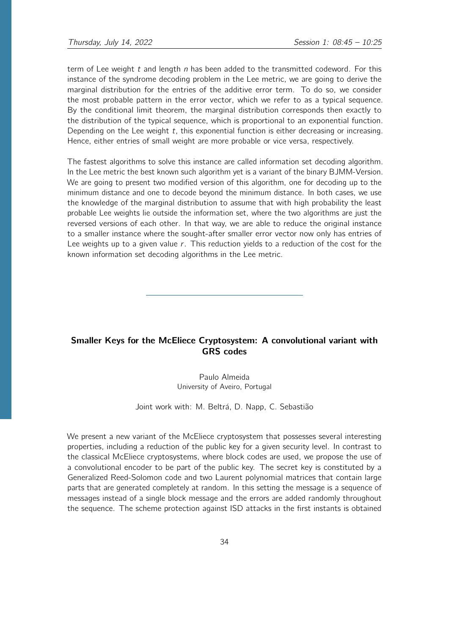<span id="page-36-1"></span>term of Lee weight  $t$  and length  $n$  has been added to the transmitted codeword. For this instance of the syndrome decoding problem in the Lee metric, we are going to derive the marginal distribution for the entries of the additive error term. To do so, we consider the most probable pattern in the error vector, which we refer to as a typical sequence. By the conditional limit theorem, the marginal distribution corresponds then exactly to the distribution of the typical sequence, which is proportional to an exponential function. Depending on the Lee weight  $t$ , this exponential function is either decreasing or increasing. Hence, either entries of small weight are more probable or vice versa, respectively.

The fastest algorithms to solve this instance are called information set decoding algorithm. In the Lee metric the best known such algorithm yet is a variant of the binary BJMM-Version. We are going to present two modified version of this algorithm, one for decoding up to the minimum distance and one to decode beyond the minimum distance. In both cases, we use the knowledge of the marginal distribution to assume that with high probability the least probable Lee weights lie outside the information set, where the two algorithms are just the reversed versions of each other. In that way, we are able to reduce the original instance to a smaller instance where the sought-after smaller error vector now only has entries of Lee weights up to a given value  $r$ . This reduction yields to a reduction of the cost for the known information set decoding algorithms in the Lee metric.

## <span id="page-36-0"></span>Smaller Keys for the McEliece Cryptosystem: A convolutional variant with GRS codes

Paulo Almeida University of Aveiro, Portugal

Joint work with: M. Beltrá, D. Napp, C. Sebastião

We present a new variant of the McEliece cryptosystem that possesses several interesting properties, including a reduction of the public key for a given security level. In contrast to the classical McEliece cryptosystems, where block codes are used, we propose the use of a convolutional encoder to be part of the public key. The secret key is constituted by a Generalized Reed-Solomon code and two Laurent polynomial matrices that contain large parts that are generated completely at random. In this setting the message is a sequence of messages instead of a single block message and the errors are added randomly throughout the sequence. The scheme protection against ISD attacks in the first instants is obtained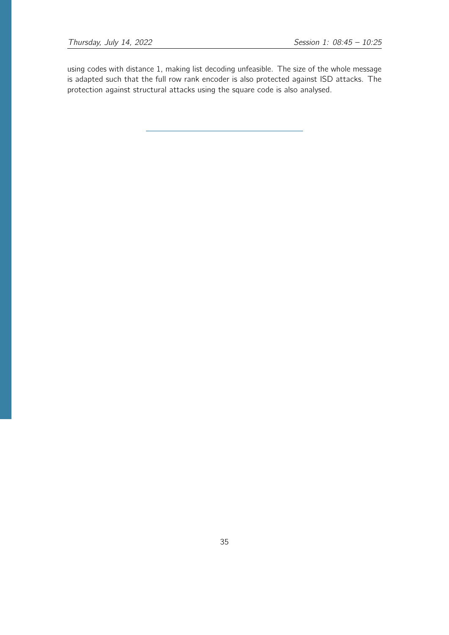using codes with distance 1, making list decoding unfeasible. The size of the whole message is adapted such that the full row rank encoder is also protected against ISD attacks. The protection against structural attacks using the square code is also analysed.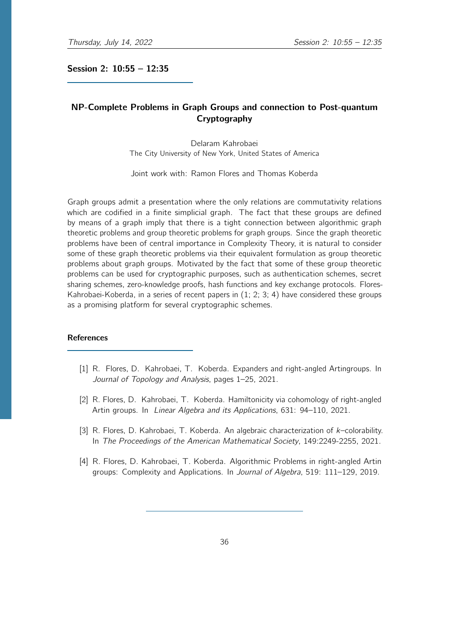<span id="page-38-6"></span><span id="page-38-0"></span>Session 2: 10:55 – 12:35

## <span id="page-38-1"></span>NP-Complete Problems in Graph Groups and connection to Post-quantum Cryptography

Delaram Kahrobaei The City University of New York, United States of America

Joint work with: Ramon Flores and Thomas Koberda

Graph groups admit a presentation where the only relations are commutativity relations which are codified in a finite simplicial graph. The fact that these groups are defined by means of a graph imply that there is a tight connection between algorithmic graph theoretic problems and group theoretic problems for graph groups. Since the graph theoretic problems have been of central importance in Complexity Theory, it is natural to consider some of these graph theoretic problems via their equivalent formulation as group theoretic problems about graph groups. Motivated by the fact that some of these group theoretic problems can be used for cryptographic purposes, such as authentication schemes, secret sharing schemes, zero-knowledge proofs, hash functions and key exchange protocols. Flores-Kahrobaei-Koberda, in a series of recent papers in [\(1;](#page-38-2) [2;](#page-38-3) [3;](#page-38-4) [4\)](#page-38-5) have considered these groups as a promising platform for several cryptographic schemes.

#### References

- <span id="page-38-2"></span>[1] R. Flores, D. Kahrobaei, T. Koberda. Expanders and right-angled Artingroups. In Journal of Topology and Analysis, pages 1–25, 2021.
- <span id="page-38-3"></span>[2] R. Flores, D. Kahrobaei, T. Koberda. Hamiltonicity via cohomology of right-angled Artin groups. In Linear Algebra and its Applications, 631: 94–110, 2021.
- <span id="page-38-4"></span>[3] R. Flores, D. Kahrobaei, T. Koberda. An algebraic characterization of k–colorability. In The Proceedings of the American Mathematical Society, 149:2249-2255, 2021.
- <span id="page-38-5"></span>[4] R. Flores, D. Kahrobaei, T. Koberda. Algorithmic Problems in right-angled Artin groups: Complexity and Applications. In Journal of Algebra, 519: 111–129, 2019.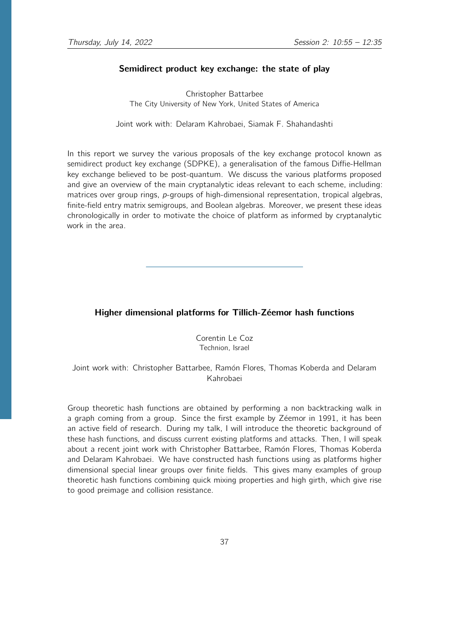#### <span id="page-39-2"></span><span id="page-39-0"></span>Semidirect product key exchange: the state of play

Christopher Battarbee The City University of New York, United States of America

Joint work with: Delaram Kahrobaei, Siamak F. Shahandashti

In this report we survey the various proposals of the key exchange protocol known as semidirect product key exchange (SDPKE), a generalisation of the famous Diffie-Hellman key exchange believed to be post-quantum. We discuss the various platforms proposed and give an overview of the main cryptanalytic ideas relevant to each scheme, including: matrices over group rings, p-groups of high-dimensional representation, tropical algebras, finite-field entry matrix semigroups, and Boolean algebras. Moreover, we present these ideas chronologically in order to motivate the choice of platform as informed by cryptanalytic work in the area.

#### <span id="page-39-1"></span>Higher dimensional platforms for Tillich-Zéemor hash functions

Corentin Le Coz Technion, Israel

Joint work with: Christopher Battarbee, Ramón Flores, Thomas Koberda and Delaram Kahrobaei

Group theoretic hash functions are obtained by performing a non backtracking walk in a graph coming from a group. Since the first example by Zéemor in 1991, it has been an active field of research. During my talk, I will introduce the theoretic background of these hash functions, and discuss current existing platforms and attacks. Then, I will speak about a recent joint work with Christopher Battarbee, Ramón Flores, Thomas Koberda and Delaram Kahrobaei. We have constructed hash functions using as platforms higher dimensional special linear groups over finite fields. This gives many examples of group theoretic hash functions combining quick mixing properties and high girth, which give rise to good preimage and collision resistance.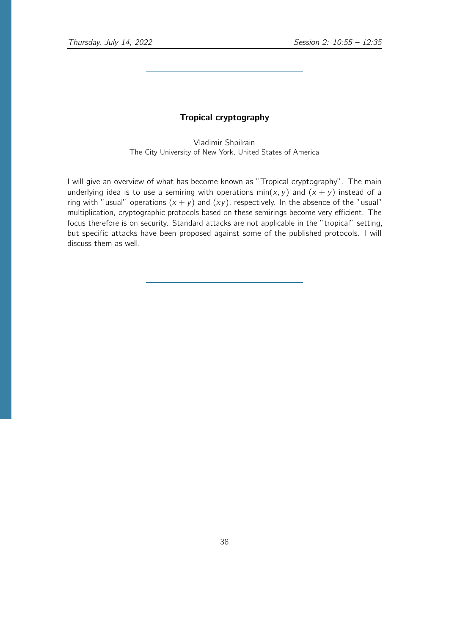## Tropical cryptography

<span id="page-40-1"></span><span id="page-40-0"></span>Vladimir Shpilrain The City University of New York, United States of America

I will give an overview of what has become known as "Tropical cryptography". The main underlying idea is to use a semiring with operations min(x, y) and  $(x + y)$  instead of a ring with "usual" operations  $(x + y)$  and  $(xy)$ , respectively. In the absence of the "usual" multiplication, cryptographic protocols based on these semirings become very efficient. The focus therefore is on security. Standard attacks are not applicable in the "tropical" setting, but specific attacks have been proposed against some of the published protocols. I will discuss them as well.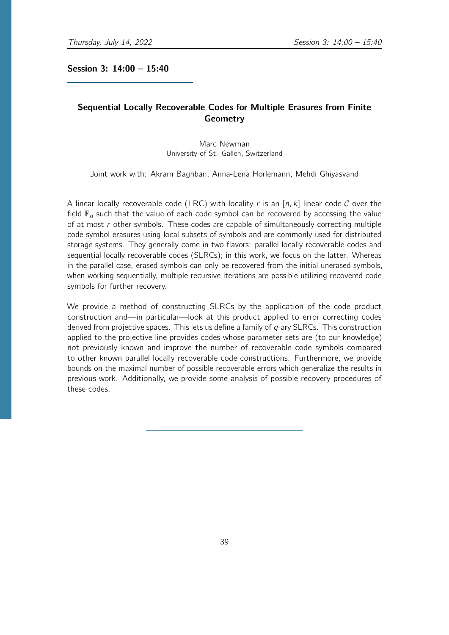<span id="page-41-2"></span><span id="page-41-0"></span>Session 3: 14:00 – 15:40

## <span id="page-41-1"></span>Sequential Locally Recoverable Codes for Multiple Erasures from Finite **Geometry**

Marc Newman University of St. Gallen, Switzerland

Joint work with: Akram Baghban, Anna-Lena Horlemann, Mehdi Ghiyasvand

A linear locally recoverable code (LRC) with locality r is an  $[n, k]$  linear code C over the field  $\mathbb{F}_q$  such that the value of each code symbol can be recovered by accessing the value of at most  $r$  other symbols. These codes are capable of simultaneously correcting multiple code symbol erasures using local subsets of symbols and are commonly used for distributed storage systems. They generally come in two flavors: parallel locally recoverable codes and sequential locally recoverable codes (SLRCs); in this work, we focus on the latter. Whereas in the parallel case, erased symbols can only be recovered from the initial unerased symbols, when working sequentially, multiple recursive iterations are possible utilizing recovered code symbols for further recovery.

We provide a method of constructing SLRCs by the application of the code product construction and—in particular—look at this product applied to error correcting codes derived from projective spaces. This lets us define a family of  $q$ -ary SLRCs. This construction applied to the projective line provides codes whose parameter sets are (to our knowledge) not previously known and improve the number of recoverable code symbols compared to other known parallel locally recoverable code constructions. Furthermore, we provide bounds on the maximal number of possible recoverable errors which generalize the results in previous work. Additionally, we provide some analysis of possible recovery procedures of these codes.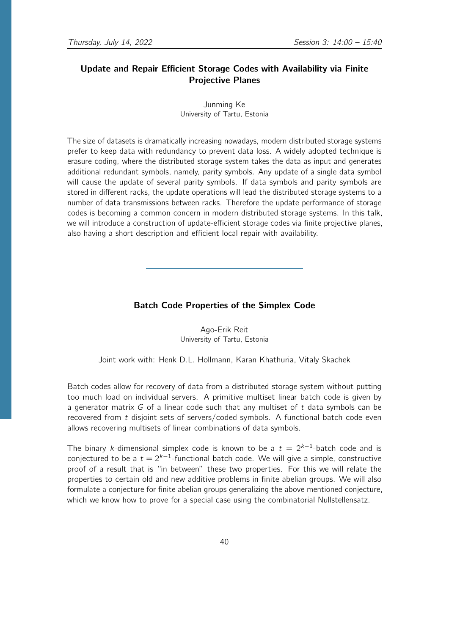## <span id="page-42-2"></span><span id="page-42-0"></span>Update and Repair Efficient Storage Codes with Availability via Finite Projective Planes

Junming Ke University of Tartu, Estonia

The size of datasets is dramatically increasing nowadays, modern distributed storage systems prefer to keep data with redundancy to prevent data loss. A widely adopted technique is erasure coding, where the distributed storage system takes the data as input and generates additional redundant symbols, namely, parity symbols. Any update of a single data symbol will cause the update of several parity symbols. If data symbols and parity symbols are stored in different racks, the update operations will lead the distributed storage systems to a number of data transmissions between racks. Therefore the update performance of storage codes is becoming a common concern in modern distributed storage systems. In this talk, we will introduce a construction of update-efficient storage codes via finite projective planes, also having a short description and efficient local repair with availability.

#### <span id="page-42-1"></span>Batch Code Properties of the Simplex Code

Ago-Erik Reit University of Tartu, Estonia

Joint work with: Henk D.L. Hollmann, Karan Khathuria, Vitaly Skachek

Batch codes allow for recovery of data from a distributed storage system without putting too much load on individual servers. A primitive multiset linear batch code is given by a generator matrix  $G$  of a linear code such that any multiset of  $t$  data symbols can be recovered from  $t$  disjoint sets of servers/coded symbols. A functional batch code even allows recovering multisets of linear combinations of data symbols.

The binary k-dimensional simplex code is known to be a  $t = 2^{k-1}$ -batch code and is conjectured to be a  $t = 2^{k-1}$ -functional batch code. We will give a simple, constructive proof of a result that is "in between" these two properties. For this we will relate the properties to certain old and new additive problems in finite abelian groups. We will also formulate a conjecture for finite abelian groups generalizing the above mentioned conjecture, which we know how to prove for a special case using the combinatorial Nullstellensatz.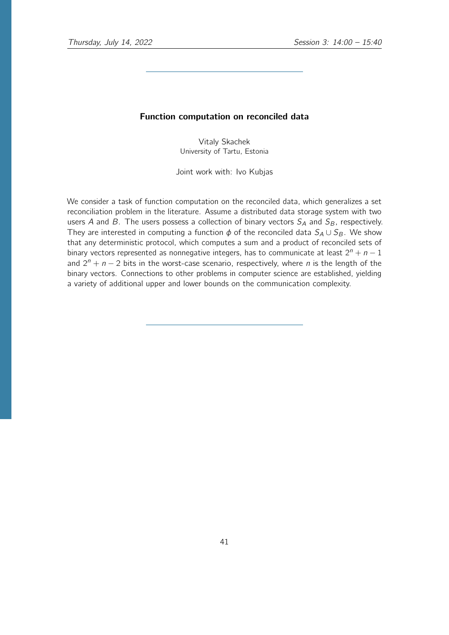#### <span id="page-43-1"></span><span id="page-43-0"></span>Function computation on reconciled data

Vitaly Skachek University of Tartu, Estonia

Joint work with: Ivo Kubjas

We consider a task of function computation on the reconciled data, which generalizes a set reconciliation problem in the literature. Assume a distributed data storage system with two users A and B. The users possess a collection of binary vectors  $S_A$  and  $S_B$ , respectively. They are interested in computing a function  $\phi$  of the reconciled data  $S_A \cup S_B$ . We show that any deterministic protocol, which computes a sum and a product of reconciled sets of binary vectors represented as nonnegative integers, has to communicate at least  $2^n + n - 1$ and  $2^{n} + n - 2$  bits in the worst-case scenario, respectively, where *n* is the length of the binary vectors. Connections to other problems in computer science are established, yielding a variety of additional upper and lower bounds on the communication complexity.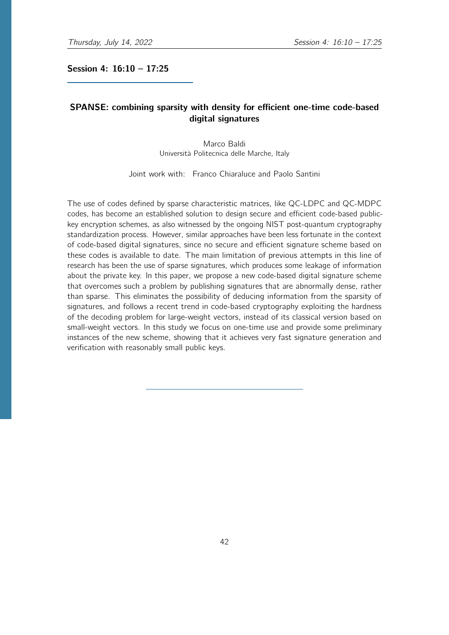<span id="page-44-2"></span><span id="page-44-0"></span>Session 4: 16:10 – 17:25

## <span id="page-44-1"></span>SPANSE: combining sparsity with density for efficient one-time code-based digital signatures

Marco Baldi Universit`a Politecnica delle Marche, Italy

Joint work with: Franco Chiaraluce and Paolo Santini

The use of codes defined by sparse characteristic matrices, like QC-LDPC and QC-MDPC codes, has become an established solution to design secure and efficient code-based publickey encryption schemes, as also witnessed by the ongoing NIST post-quantum cryptography standardization process. However, similar approaches have been less fortunate in the context of code-based digital signatures, since no secure and efficient signature scheme based on these codes is available to date. The main limitation of previous attempts in this line of research has been the use of sparse signatures, which produces some leakage of information about the private key. In this paper, we propose a new code-based digital signature scheme that overcomes such a problem by publishing signatures that are abnormally dense, rather than sparse. This eliminates the possibility of deducing information from the sparsity of signatures, and follows a recent trend in code-based cryptography exploiting the hardness of the decoding problem for large-weight vectors, instead of its classical version based on small-weight vectors. In this study we focus on one-time use and provide some preliminary instances of the new scheme, showing that it achieves very fast signature generation and verification with reasonably small public keys.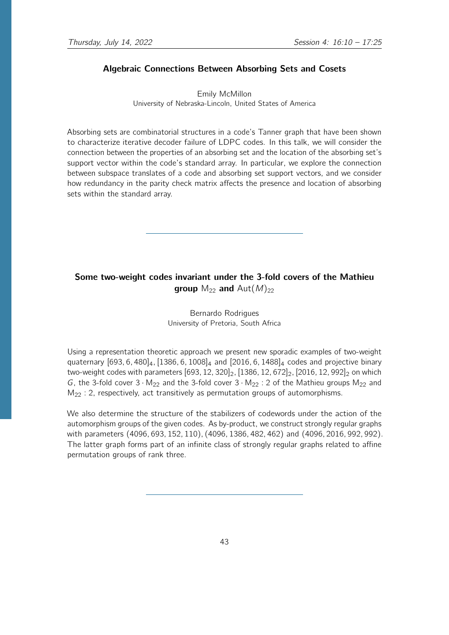#### <span id="page-45-2"></span><span id="page-45-0"></span>Algebraic Connections Between Absorbing Sets and Cosets

Emily McMillon University of Nebraska-Lincoln, United States of America

Absorbing sets are combinatorial structures in a code's Tanner graph that have been shown to characterize iterative decoder failure of LDPC codes. In this talk, we will consider the connection between the properties of an absorbing set and the location of the absorbing set's support vector within the code's standard array. In particular, we explore the connection between subspace translates of a code and absorbing set support vectors, and we consider how redundancy in the parity check matrix affects the presence and location of absorbing sets within the standard array.

## <span id="page-45-1"></span>Some two-weight codes invariant under the 3-fold covers of the Mathieu group  $M_{22}$  and  $Aut(M)_{22}$

Bernardo Rodrigues University of Pretoria, South Africa

Using a representation theoretic approach we present new sporadic examples of two-weight quaternary  $[693, 6, 480]_4$ ,  $[1386, 6, 1008]_4$  and  $[2016, 6, 1488]_4$  codes and projective binary two-weight codes with parameters  $[693, 12, 320]_2$ ,  $[1386, 12, 672]_2$ ,  $[2016, 12, 992]_2$  on which G, the 3-fold cover  $3 \cdot M_{22}$  and the 3-fold cover  $3 \cdot M_{22}$  : 2 of the Mathieu groups  $M_{22}$  and  $M_{22}$  : 2, respectively, act transitively as permutation groups of automorphisms.

We also determine the structure of the stabilizers of codewords under the action of the automorphism groups of the given codes. As by-product, we construct strongly regular graphs with parameters (4096, 693, 152, 110), (4096, 1386, 482, 462) and (4096, 2016, 992, 992). The latter graph forms part of an infinite class of strongly regular graphs related to affine permutation groups of rank three.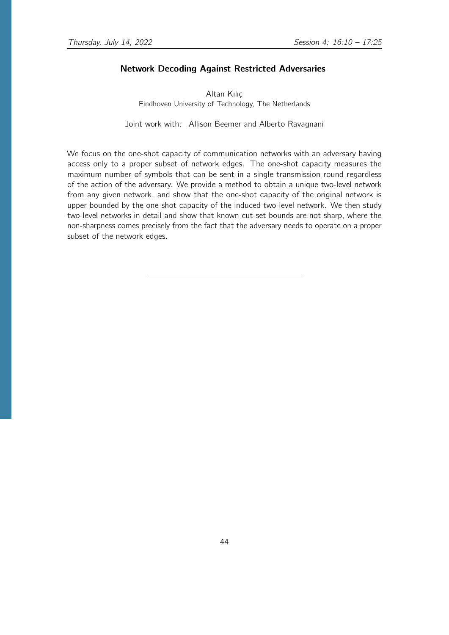#### <span id="page-46-1"></span><span id="page-46-0"></span>Network Decoding Against Restricted Adversaries

Altan Kılıc Eindhoven University of Technology, The Netherlands

Joint work with: Allison Beemer and Alberto Ravagnani

We focus on the one-shot capacity of communication networks with an adversary having access only to a proper subset of network edges. The one-shot capacity measures the maximum number of symbols that can be sent in a single transmission round regardless of the action of the adversary. We provide a method to obtain a unique two-level network from any given network, and show that the one-shot capacity of the original network is upper bounded by the one-shot capacity of the induced two-level network. We then study two-level networks in detail and show that known cut-set bounds are not sharp, where the non-sharpness comes precisely from the fact that the adversary needs to operate on a proper subset of the network edges.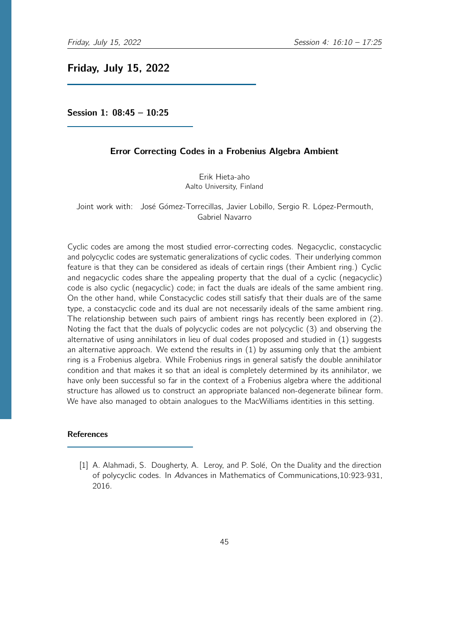## <span id="page-47-4"></span><span id="page-47-0"></span>Friday, July 15, 2022

<span id="page-47-2"></span><span id="page-47-1"></span>Session 1: 08:45 – 10:25

#### Error Correcting Codes in a Frobenius Algebra Ambient

Erik Hieta-aho Aalto University, Finland

Joint work with: José Gómez-Torrecillas, Javier Lobillo, Sergio R. López-Permouth, Gabriel Navarro

Cyclic codes are among the most studied error-correcting codes. Negacyclic, constacyclic and polycyclic codes are systematic generalizations of cyclic codes. Their underlying common feature is that they can be considered as ideals of certain rings (their Ambient ring.) Cyclic and negacyclic codes share the appealing property that the dual of a cyclic (negacyclic) code is also cyclic (negacyclic) code; in fact the duals are ideals of the same ambient ring. On the other hand, while Constacyclic codes still satisfy that their duals are of the same type, a constacyclic code and its dual are not necessarily ideals of the same ambient ring. The relationship between such pairs of ambient rings has recently been explored in [\(2\)](#page-48-1). Noting the fact that the duals of polycyclic codes are not polycyclic [\(3\)](#page-48-2) and observing the alternative of using annihilators in lieu of dual codes proposed and studied in [\(1\)](#page-47-3) suggests an alternative approach. We extend the results in [\(1\)](#page-47-3) by assuming only that the ambient ring is a Frobenius algebra. While Frobenius rings in general satisfy the double annihilator condition and that makes it so that an ideal is completely determined by its annihilator, we have only been successful so far in the context of a Frobenius algebra where the additional structure has allowed us to construct an appropriate balanced non-degenerate bilinear form. We have also managed to obtain analogues to the MacWilliams identities in this setting.

#### References

<span id="page-47-3"></span>[1] A. Alahmadi, S. Dougherty, A. Leroy, and P. Solé, On the Duality and the direction of polycyclic codes. In Advances in Mathematics of Communications,10:923-931, 2016.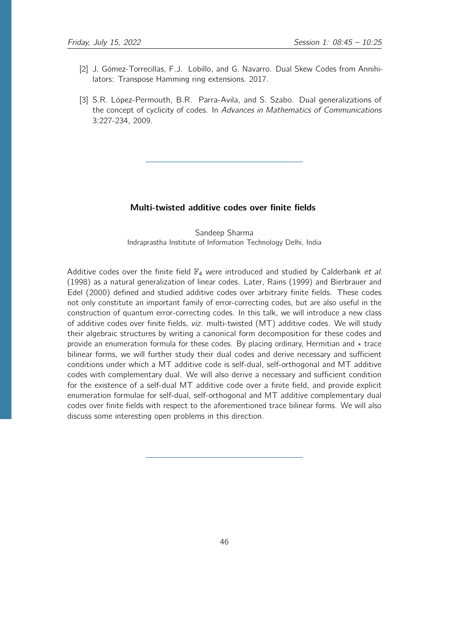- <span id="page-48-3"></span><span id="page-48-1"></span>[2] J. Gómez-Torrecillas, F.J. Lobillo, and G. Navarro. Dual Skew Codes from Annihilators: Transpose Hamming ring extensions. 2017.
- <span id="page-48-2"></span>[3] S.R. López-Permouth, B.R. Parra-Avila, and S. Szabo. Dual generalizations of the concept of cyclicity of codes. In Advances in Mathematics of Communications 3:227-234, 2009.

#### <span id="page-48-0"></span>Multi-twisted additive codes over finite fields

Sandeep Sharma Indraprastha Institute of Information Technology Delhi, India

Additive codes over the finite field  $\mathbb{F}_4$  were introduced and studied by Calderbank et al. (1998) as a natural generalization of linear codes. Later, Rains (1999) and Bierbrauer and Edel (2000) defined and studied additive codes over arbitrary finite fields. These codes not only constitute an important family of error-correcting codes, but are also useful in the construction of quantum error-correcting codes. In this talk, we will introduce a new class of additive codes over finite fields, viz. multi-twisted (MT) additive codes. We will study their algebraic structures by writing a canonical form decomposition for these codes and provide an enumeration formula for these codes. By placing ordinary, Hermitian and  $\star$  trace bilinear forms, we will further study their dual codes and derive necessary and sufficient conditions under which a MT additive code is self-dual, self-orthogonal and MT additive codes with complementary dual. We will also derive a necessary and sufficient condition for the existence of a self-dual MT additive code over a finite field, and provide explicit enumeration formulae for self-dual, self-orthogonal and MT additive complementary dual codes over finite fields with respect to the aforementioned trace bilinear forms. We will also discuss some interesting open problems in this direction.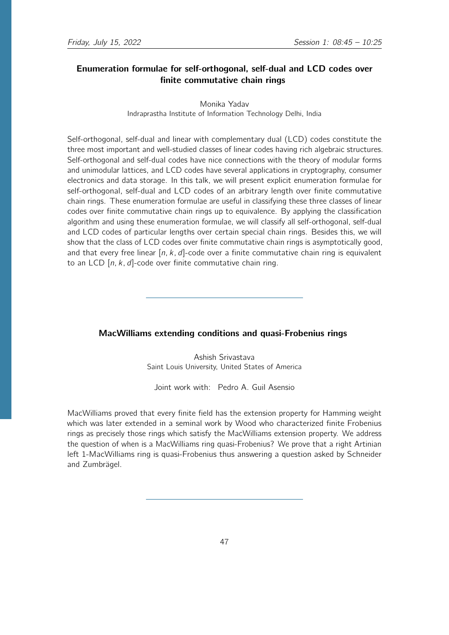## <span id="page-49-2"></span><span id="page-49-0"></span>Enumeration formulae for self-orthogonal, self-dual and LCD codes over finite commutative chain rings

Monika Yadav Indraprastha Institute of Information Technology Delhi, India

Self-orthogonal, self-dual and linear with complementary dual (LCD) codes constitute the three most important and well-studied classes of linear codes having rich algebraic structures. Self-orthogonal and self-dual codes have nice connections with the theory of modular forms and unimodular lattices, and LCD codes have several applications in cryptography, consumer electronics and data storage. In this talk, we will present explicit enumeration formulae for self-orthogonal, self-dual and LCD codes of an arbitrary length over finite commutative chain rings. These enumeration formulae are useful in classifying these three classes of linear codes over finite commutative chain rings up to equivalence. By applying the classification algorithm and using these enumeration formulae, we will classify all self-orthogonal, self-dual and LCD codes of particular lengths over certain special chain rings. Besides this, we will show that the class of LCD codes over finite commutative chain rings is asymptotically good, and that every free linear  $[n, k, d]$ -code over a finite commutative chain ring is equivalent to an LCD  $[n, k, d]$ -code over finite commutative chain ring.

#### <span id="page-49-1"></span>MacWilliams extending conditions and quasi-Frobenius rings

Ashish Srivastava Saint Louis University, United States of America

Joint work with: Pedro A. Guil Asensio

MacWilliams proved that every finite field has the extension property for Hamming weight which was later extended in a seminal work by Wood who characterized finite Frobenius rings as precisely those rings which satisfy the MacWilliams extension property. We address the question of when is a MacWilliams ring quasi-Frobenius? We prove that a right Artinian left 1-MacWilliams ring is quasi-Frobenius thus answering a question asked by Schneider and Zumbrägel.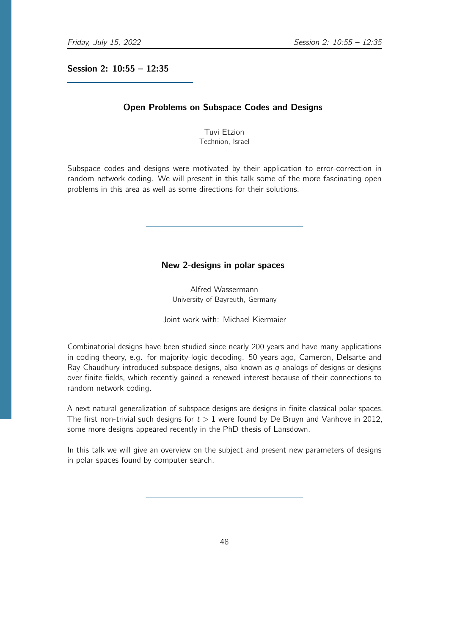<span id="page-50-3"></span><span id="page-50-1"></span><span id="page-50-0"></span>Session 2: 10:55 – 12:35

#### Open Problems on Subspace Codes and Designs

Tuvi Etzion Technion, Israel

<span id="page-50-2"></span>Subspace codes and designs were motivated by their application to error-correction in random network coding. We will present in this talk some of the more fascinating open problems in this area as well as some directions for their solutions.

#### New 2-designs in polar spaces

Alfred Wassermann University of Bayreuth, Germany

Joint work with: Michael Kiermaier

Combinatorial designs have been studied since nearly 200 years and have many applications in coding theory, e.g. for majority-logic decoding. 50 years ago, Cameron, Delsarte and Ray-Chaudhury introduced subspace designs, also known as  $q$ -analogs of designs or designs over finite fields, which recently gained a renewed interest because of their connections to random network coding.

A next natural generalization of subspace designs are designs in finite classical polar spaces. The first non-trivial such designs for  $t > 1$  were found by De Bruyn and Vanhove in 2012, some more designs appeared recently in the PhD thesis of Lansdown.

In this talk we will give an overview on the subject and present new parameters of designs in polar spaces found by computer search.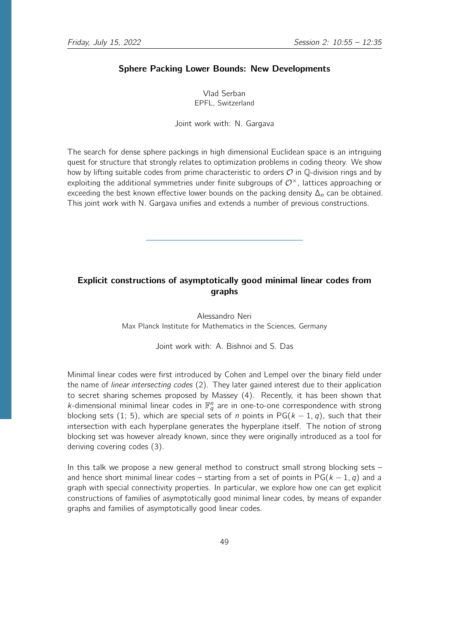#### <span id="page-51-2"></span><span id="page-51-0"></span>Sphere Packing Lower Bounds: New Developments

Vlad Serban EPFL, Switzerland

Joint work with: N. Gargava

The search for dense sphere packings in high dimensional Euclidean space is an intriguing quest for structure that strongly relates to optimization problems in coding theory. We show how by lifting suitable codes from prime characteristic to orders  $\mathcal O$  in  $\mathbb O$ -division rings and by exploiting the additional symmetries under finite subgroups of  $\mathcal{O}^{\times}$ , lattices approaching or exceeding the best known effective lower bounds on the packing density  $\Delta_n$  can be obtained. This joint work with N. Gargava unifies and extends a number of previous constructions.

## <span id="page-51-1"></span>Explicit constructions of asymptotically good minimal linear codes from graphs

Alessandro Neri Max Planck Institute for Mathematics in the Sciences, Germany

Joint work with: A. Bishnoi and S. Das

Minimal linear codes were first introduced by Cohen and Lempel over the binary field under the name of *linear intersecting codes* [\(2\)](#page-52-0). They later gained interest due to their application to secret sharing schemes proposed by Massey [\(4\)](#page-52-1). Recently, it has been shown that k-dimensional minimal linear codes in  $\mathbb{F}_q^n$  are in one-to-one correspondence with strong blocking sets [\(1;](#page-52-2) [5\)](#page-52-3), which are special sets of *n* points in PG( $k - 1$ , q), such that their intersection with each hyperplane generates the hyperplane itself. The notion of strong blocking set was however already known, since they were originally introduced as a tool for deriving covering codes [\(3\)](#page-52-4).

In this talk we propose a new general method to construct small strong blocking sets  $$ and hence short minimal linear codes – starting from a set of points in PG( $k - 1$ , q) and a graph with special connectivity properties. In particular, we explore how one can get explicit constructions of families of asymptotically good minimal linear codes, by means of expander graphs and families of asymptotically good linear codes.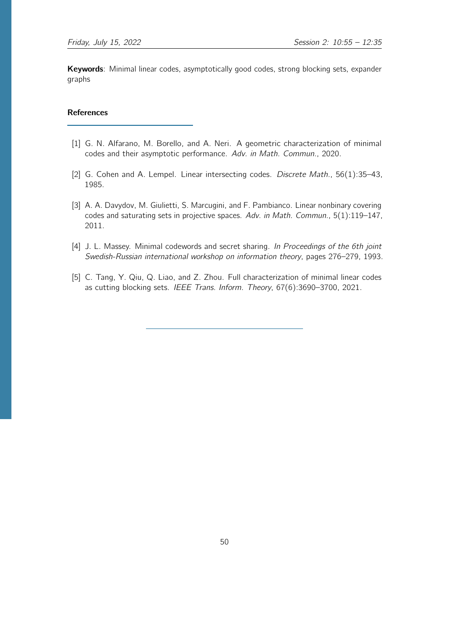Keywords: Minimal linear codes, asymptotically good codes, strong blocking sets, expander graphs

## References

- <span id="page-52-2"></span>[1] G. N. Alfarano, M. Borello, and A. Neri. A geometric characterization of minimal codes and their asymptotic performance. Adv. in Math. Commun., 2020.
- <span id="page-52-0"></span>[2] G. Cohen and A. Lempel. Linear intersecting codes. Discrete Math., 56(1):35-43, 1985.
- <span id="page-52-4"></span>[3] A. A. Davydov, M. Giulietti, S. Marcugini, and F. Pambianco. Linear nonbinary covering codes and saturating sets in projective spaces. Adv. in Math. Commun., 5(1):119–147, 2011.
- <span id="page-52-1"></span>[4] J. L. Massey. Minimal codewords and secret sharing. In Proceedings of the 6th joint Swedish-Russian international workshop on information theory, pages 276–279, 1993.
- <span id="page-52-3"></span>[5] C. Tang, Y. Qiu, Q. Liao, and Z. Zhou. Full characterization of minimal linear codes as cutting blocking sets. IEEE Trans. Inform. Theory, 67(6):3690–3700, 2021.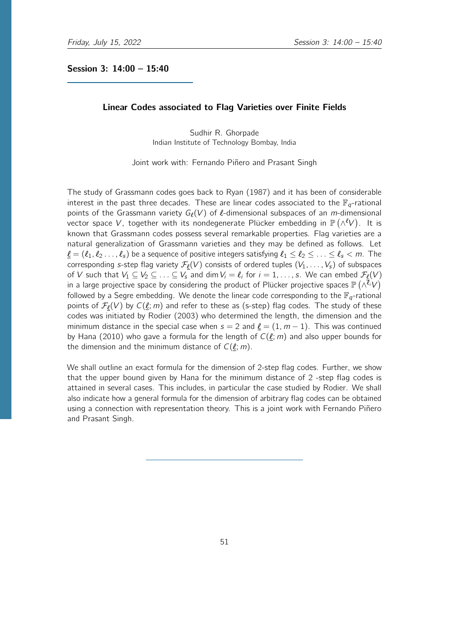#### <span id="page-53-2"></span><span id="page-53-1"></span><span id="page-53-0"></span>Session 3: 14:00 – 15:40

#### Linear Codes associated to Flag Varieties over Finite Fields

Sudhir R. Ghorpade Indian Institute of Technology Bombay, India

Joint work with: Fernando Piñero and Prasant Singh

The study of Grassmann codes goes back to Ryan (1987) and it has been of considerable interest in the past three decades. These are linear codes associated to the  $\mathbb{F}_q$ -rational points of the Grassmann variety  $G_{\ell}(V)$  of  $\ell$ -dimensional subspaces of an *m*-dimensional vector space  $V$ , together with its nondegenerate Plücker embedding in  $\mathbb{P}\left(\wedge^{\ell}V\right)$ . It is known that Grassmann codes possess several remarkable properties. Flag varieties are a natural generalization of Grassmann varieties and they may be defined as follows. Let  $\underline{\ell} = (\ell_1, \ell_2, \ldots, \ell_s)$  be a sequence of positive integers satisfying  $\ell_1 \leq \ell_2 \leq \ldots \leq \ell_s < m$ . The corresponding s-step flag variety  $\mathcal{F}_{\ell}(V)$  consists of ordered tuples  $(V_1, \ldots, V_s)$  of subspaces of  $V$  such that  $V_1 \subseteq V_2 \subseteq \ldots \subseteq V_s$  and dim  $V_i = \ell_i$  for  $i = 1, \ldots, s$ . We can embed  $\mathcal{F}_{\underline{\ell}}(V)$ in a large projective space by considering the product of Plücker projective spaces  $\mathbb{P}\left(\wedge^{\overline{\bm{\ell}}_i} \bm{V}\right)$ followed by a Segre embedding. We denote the linear code corresponding to the  $\mathbb{F}_q$ -rational points of  $\mathcal{F}_{\ell}(V)$  by  $C(\underline{\ell}; m)$  and refer to these as (s-step) flag codes. The study of these codes was initiated by Rodier (2003) who determined the length, the dimension and the minimum distance in the special case when  $s = 2$  and  $\underline{\ell} = (1, m - 1)$ . This was continued by Hana (2010) who gave a formula for the length of  $C(\ell; m)$  and also upper bounds for the dimension and the minimum distance of  $C(\ell; m)$ .

We shall outline an exact formula for the dimension of 2-step flag codes. Further, we show that the upper bound given by Hana for the minimum distance of 2-step flag codes is attained in several cases. This includes, in particular the case studied by Rodier. We shall also indicate how a general formula for the dimension of arbitrary flag codes can be obtained using a connection with representation theory. This is a joint work with Fernando Piñero and Prasant Singh.

51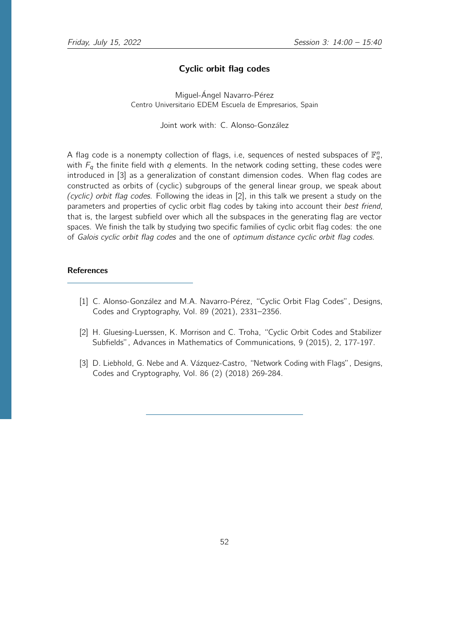#### Cyclic orbit flag codes

<span id="page-54-1"></span><span id="page-54-0"></span>Miguel-Ángel Navarro-Pérez Centro Universitario EDEM Escuela de Empresarios, Spain

Joint work with: C. Alonso-González

A flag code is a nonempty collection of flags, i.e, sequences of nested subspaces of  $\mathbb{F}_q^n$ , with  $F_q$  the finite field with q elements. In the network coding setting, these codes were introduced in [3] as a generalization of constant dimension codes. When flag codes are constructed as orbits of (cyclic) subgroups of the general linear group, we speak about (cyclic) orbit flag codes. Following the ideas in  $[2]$ , in this talk we present a study on the parameters and properties of cyclic orbit flag codes by taking into account their best friend, that is, the largest subfield over which all the subspaces in the generating flag are vector spaces. We finish the talk by studying two specific families of cyclic orbit flag codes: the one of Galois cyclic orbit flag codes and the one of optimum distance cyclic orbit flag codes.

#### **References**

- [1] C. Alonso-González and M.A. Navarro-Pérez, "Cyclic Orbit Flag Codes", Designs, Codes and Cryptography, Vol. 89 (2021), 2331–2356.
- [2] H. Gluesing-Luerssen, K. Morrison and C. Troha, "Cyclic Orbit Codes and Stabilizer Subfields", Advances in Mathematics of Communications, 9 (2015), 2, 177-197.
- [3] D. Liebhold, G. Nebe and A. Vázquez-Castro, "Network Coding with Flags", Designs, Codes and Cryptography, Vol. 86 (2) (2018) 269-284.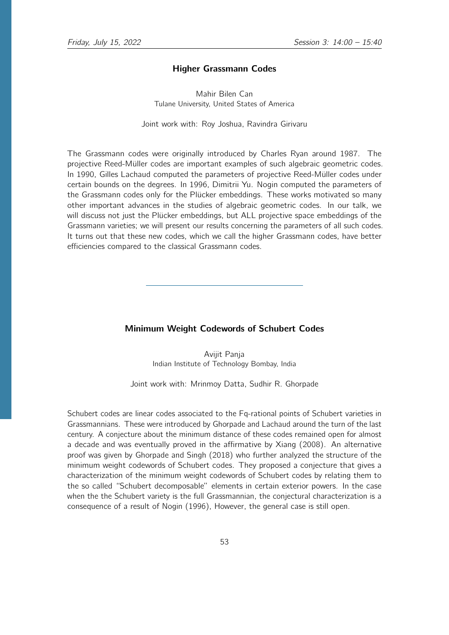#### Higher Grassmann Codes

#### <span id="page-55-2"></span>Mahir Bilen Can Tulane University, United States of America

Joint work with: Roy Joshua, Ravindra Girivaru

<span id="page-55-0"></span>The Grassmann codes were originally introduced by Charles Ryan around 1987. The projective Reed-Müller codes are important examples of such algebraic geometric codes. In 1990, Gilles Lachaud computed the parameters of projective Reed-Müller codes under certain bounds on the degrees. In 1996, Dimitrii Yu. Nogin computed the parameters of the Grassmann codes only for the Plücker embeddings. These works motivated so many other important advances in the studies of algebraic geometric codes. In our talk, we will discuss not just the Plücker embeddings, but ALL projective space embeddings of the Grassmann varieties; we will present our results concerning the parameters of all such codes. It turns out that these new codes, which we call the higher Grassmann codes, have better efficiencies compared to the classical Grassmann codes.

#### <span id="page-55-1"></span>Minimum Weight Codewords of Schubert Codes

Avijit Panja Indian Institute of Technology Bombay, India

Joint work with: Mrinmoy Datta, Sudhir R. Ghorpade

Schubert codes are linear codes associated to the Fq-rational points of Schubert varieties in Grassmannians. These were introduced by Ghorpade and Lachaud around the turn of the last century. A conjecture about the minimum distance of these codes remained open for almost a decade and was eventually proved in the affirmative by Xiang (2008). An alternative proof was given by Ghorpade and Singh (2018) who further analyzed the structure of the minimum weight codewords of Schubert codes. They proposed a conjecture that gives a characterization of the minimum weight codewords of Schubert codes by relating them to the so called "Schubert decomposable" elements in certain exterior powers. In the case when the the Schubert variety is the full Grassmannian, the conjectural characterization is a consequence of a result of Nogin (1996), However, the general case is still open.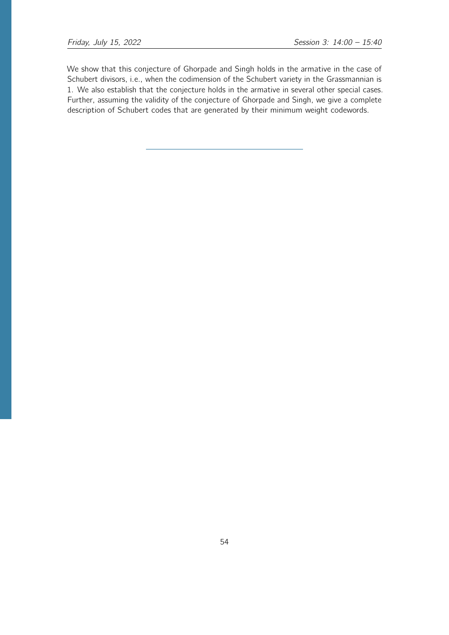We show that this conjecture of Ghorpade and Singh holds in the armative in the case of Schubert divisors, i.e., when the codimension of the Schubert variety in the Grassmannian is 1. We also establish that the conjecture holds in the armative in several other special cases. Further, assuming the validity of the conjecture of Ghorpade and Singh, we give a complete description of Schubert codes that are generated by their minimum weight codewords.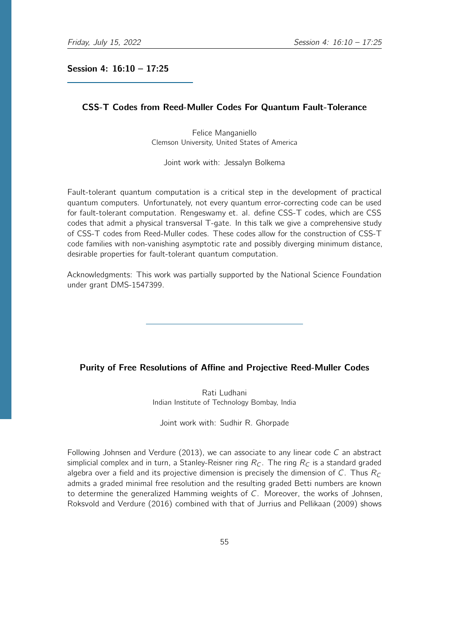#### <span id="page-57-3"></span><span id="page-57-0"></span>Session 4: 16:10 – 17:25

#### <span id="page-57-1"></span>CSS-T Codes from Reed-Muller Codes For Quantum Fault-Tolerance

Felice Manganiello Clemson University, United States of America

Joint work with: Jessalyn Bolkema

Fault-tolerant quantum computation is a critical step in the development of practical quantum computers. Unfortunately, not every quantum error-correcting code can be used for fault-tolerant computation. Rengeswamy et. al. define CSS-T codes, which are CSS codes that admit a physical transversal T-gate. In this talk we give a comprehensive study of CSS-T codes from Reed-Muller codes. These codes allow for the construction of CSS-T code families with non-vanishing asymptotic rate and possibly diverging minimum distance, desirable properties for fault-tolerant quantum computation.

Acknowledgments: This work was partially supported by the National Science Foundation under grant DMS-1547399.

#### <span id="page-57-2"></span>Purity of Free Resolutions of Affine and Projective Reed-Muller Codes

Rati Ludhani Indian Institute of Technology Bombay, India

Joint work with: Sudhir R. Ghorpade

Following Johnsen and Verdure (2013), we can associate to any linear code  $C$  an abstract simplicial complex and in turn, a Stanley-Reisner ring  $R_C$ . The ring  $R_C$  is a standard graded algebra over a field and its projective dimension is precisely the dimension of C. Thus  $R_C$ admits a graded minimal free resolution and the resulting graded Betti numbers are known to determine the generalized Hamming weights of C. Moreover, the works of Johnsen, Roksvold and Verdure (2016) combined with that of Jurrius and Pellikaan (2009) shows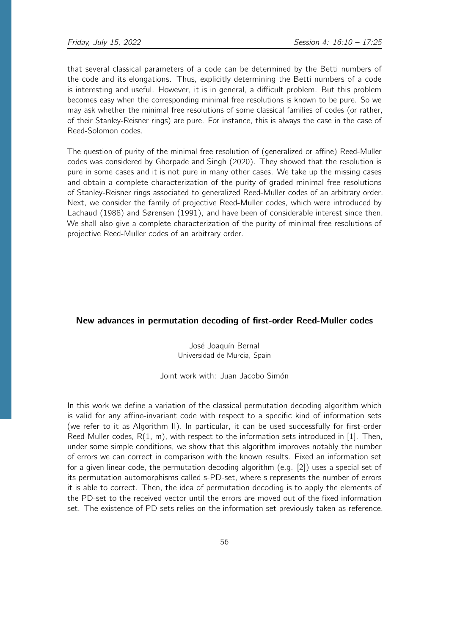<span id="page-58-1"></span>that several classical parameters of a code can be determined by the Betti numbers of the code and its elongations. Thus, explicitly determining the Betti numbers of a code is interesting and useful. However, it is in general, a difficult problem. But this problem becomes easy when the corresponding minimal free resolutions is known to be pure. So we may ask whether the minimal free resolutions of some classical families of codes (or rather, of their Stanley-Reisner rings) are pure. For instance, this is always the case in the case of Reed-Solomon codes.

The question of purity of the minimal free resolution of (generalized or affine) Reed-Muller codes was considered by Ghorpade and Singh (2020). They showed that the resolution is pure in some cases and it is not pure in many other cases. We take up the missing cases and obtain a complete characterization of the purity of graded minimal free resolutions of Stanley-Reisner rings associated to generalized Reed-Muller codes of an arbitrary order. Next, we consider the family of projective Reed-Muller codes, which were introduced by Lachaud (1988) and Sørensen (1991), and have been of considerable interest since then. We shall also give a complete characterization of the purity of minimal free resolutions of projective Reed-Muller codes of an arbitrary order.

#### <span id="page-58-0"></span>New advances in permutation decoding of first-order Reed-Muller codes

José Joaquín Bernal Universidad de Murcia, Spain

Joint work with: Juan Jacobo Simón

In this work we define a variation of the classical permutation decoding algorithm which is valid for any affine-invariant code with respect to a specific kind of information sets (we refer to it as Algorithm II). In particular, it can be used successfully for first-order Reed-Muller codes,  $R(1, m)$ , with respect to the information sets introduced in [1]. Then, under some simple conditions, we show that this algorithm improves notably the number of errors we can correct in comparison with the known results. Fixed an information set for a given linear code, the permutation decoding algorithm (e.g. [2]) uses a special set of its permutation automorphisms called s-PD-set, where s represents the number of errors it is able to correct. Then, the idea of permutation decoding is to apply the elements of the PD-set to the received vector until the errors are moved out of the fixed information set. The existence of PD-sets relies on the information set previously taken as reference.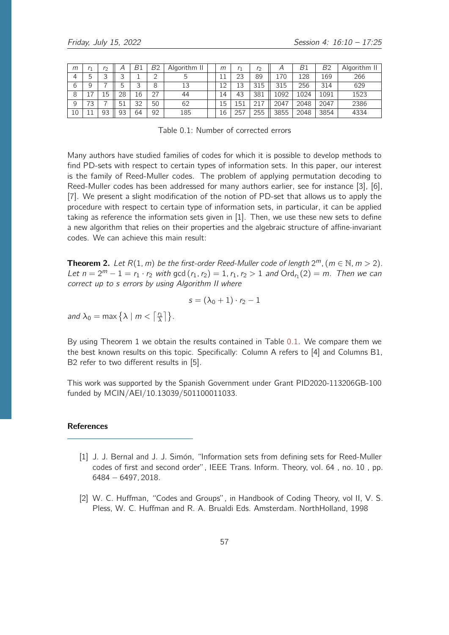| m  | r, | rn |    |    | R?        | Algorithm II | m   | r,  | r,  |      | Β1   | Β2   | Algorithm II |
|----|----|----|----|----|-----------|--------------|-----|-----|-----|------|------|------|--------------|
| 4  | h  |    |    |    |           | ט            |     | 23  | 89  | 170  | 128  | 169  | 266          |
| 6  | Q  |    |    | ⌒  | 8         | 13           | ר ו | 13  | 315 | 315  | 256  | 314  | 629          |
| 8  |    | 15 | 28 | 16 | <b>07</b> | 44           | 14  | 43  | 381 | 1092 | 1024 | 1091 | 1523         |
| 9  | 73 |    | 51 | 32 | 50        | 62           | 15  | 151 | 217 | 2047 | 2048 | 2047 | 2386         |
| 10 |    | 93 | 93 | 64 | 92        | 185          | 16  | 257 | 255 | 3855 | 2048 | 3854 | 4334         |

<span id="page-59-0"></span>Table 0.1: Number of corrected errors

Many authors have studied families of codes for which it is possible to develop methods to find PD-sets with respect to certain types of information sets. In this paper, our interest is the family of Reed-Muller codes. The problem of applying permutation decoding to Reed-Muller codes has been addressed for many authors earlier, see for instance [3], [6], [7]. We present a slight modification of the notion of PD-set that allows us to apply the procedure with respect to certain type of information sets, in particular, it can be applied taking as reference the information sets given in [1]. Then, we use these new sets to define a new algorithm that relies on their properties and the algebraic structure of affine-invariant codes. We can achieve this main result:

**Theorem 2.** Let  $R(1, m)$  be the first-order Reed-Muller code of length  $2^m$ , ( $m \in \mathbb{N}$ ,  $m > 2$ ). Let  $n = 2^m - 1 = r_1 \cdot r_2$  with gcd  $(r_1, r_2) = 1, r_1, r_2 > 1$  and  $\text{Ord}_{r_1}(2) = m$ . Then we can correct up to s errors by using Algorithm II where

$$
s=(\lambda_0+1)\cdot r_2-1
$$

and  $\lambda_0 = \max\left\{\lambda \mid m < \left\lceil \frac{r_1}{\lambda} \right\rceil\right\}.$ 

By using Theorem 1 we obtain the results contained in Table [0.1.](#page-59-0) We compare them we the best known results on this topic. Specifically: Column A refers to [4] and Columns B1, B2 refer to two different results in [5].

This work was supported by the Spanish Government under Grant PID2020-113206GB-100 funded by MCIN/AEI/10.13039/501100011033.

#### **References**

- [1] J. J. Bernal and J. J. Simón, "Information sets from defining sets for Reed-Muller codes of first and second order", IEEE Trans. Inform. Theory, vol. 64 , no. 10 , pp. 6484 − 6497, 2018.
- [2] W. C. Huffman, "Codes and Groups", in Handbook of Coding Theory, vol II, V. S. Pless, W. C. Huffman and R. A. Brualdi Eds. Amsterdam. NorthHolland, 1998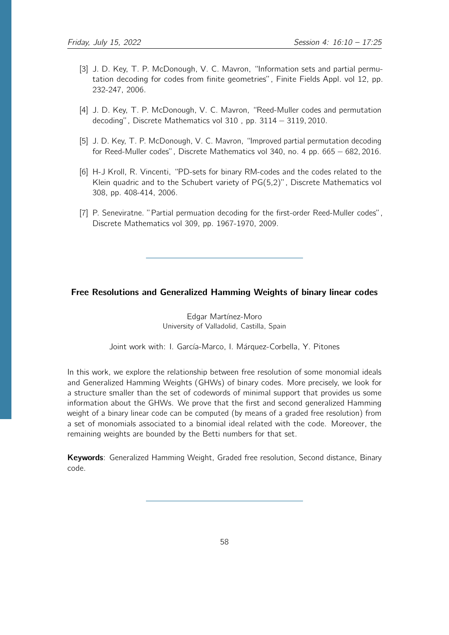- <span id="page-60-1"></span>[3] J. D. Key, T. P. McDonough, V. C. Mavron, "Information sets and partial permutation decoding for codes from finite geometries", Finite Fields Appl. vol 12, pp. 232-247, 2006.
- [4] J. D. Key, T. P. McDonough, V. C. Mavron, "Reed-Muller codes and permutation decoding", Discrete Mathematics vol 310 , pp. 3114 − 3119, 2010.
- [5] J. D. Key, T. P. McDonough, V. C. Mavron, "Improved partial permutation decoding for Reed-Muller codes", Discrete Mathematics vol 340, no. 4 pp. 665 − 682, 2016.
- [6] H-J Kroll, R. Vincenti, "PD-sets for binary RM-codes and the codes related to the Klein quadric and to the Schubert variety of PG(5,2)", Discrete Mathematics vol 308, pp. 408-414, 2006.
- [7] P. Seneviratne. "Partial permuation decoding for the first-order Reed-Muller codes", Discrete Mathematics vol 309, pp. 1967-1970, 2009.

#### <span id="page-60-0"></span>Free Resolutions and Generalized Hamming Weights of binary linear codes

Edgar Martínez-Moro University of Valladolid, Castilla, Spain

Joint work with: I. García-Marco, I. Márquez-Corbella, Y. Pitones

In this work, we explore the relationship between free resolution of some monomial ideals and Generalized Hamming Weights (GHWs) of binary codes. More precisely, we look for a structure smaller than the set of codewords of minimal support that provides us some information about the GHWs. We prove that the first and second generalized Hamming weight of a binary linear code can be computed (by means of a graded free resolution) from a set of monomials associated to a binomial ideal related with the code. Moreover, the remaining weights are bounded by the Betti numbers for that set.

Keywords: Generalized Hamming Weight, Graded free resolution, Second distance, Binary code.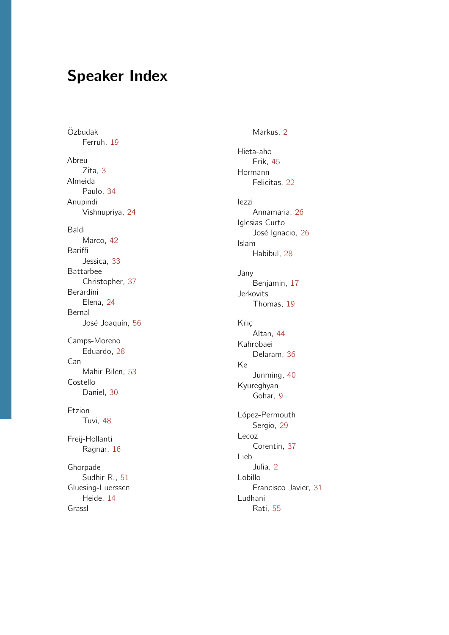# <span id="page-61-0"></span>Speaker Index

Ozbudak ¨ Ferruh, [19](#page-21-3) Abreu Zita, [3](#page-5-1) Almeida Paulo, [34](#page-36-1) Anupindi Vishnupriya, [24](#page-26-3) Baldi Marco, [42](#page-44-2) Bariffi Jessica, [33](#page-35-1) Battarbee Christopher, [37](#page-39-2) Berardini Elena, [24](#page-26-3) Bernal José Joaquín, [56](#page-58-1) Camps-Moreno Eduardo, [28](#page-30-3) Can Mahir Bilen, [53](#page-55-2) Costello Daniel, [30](#page-32-1) Etzion Tuvi, [48](#page-50-3) Freij-Hollanti Ragnar, [16](#page-18-1) Ghorpade Sudhir R., [51](#page-53-2) Gluesing-Luerssen Heide, [14](#page-16-3) Grassl

Markus, [2](#page-4-5) Hieta-aho Erik, [45](#page-47-4) Hormann Felicitas, [22](#page-24-1) Iezzi Annamaria, [26](#page-28-2) Iglesias Curto José Ignacio, [26](#page-28-2) Islam Habibul, [28](#page-30-3) Jany Benjamin, [17](#page-19-2) **Jerkovits** Thomas, [19](#page-21-3) Kılıç Altan, [44](#page-46-1) Kahrobaei Delaram, [36](#page-38-6) Ke Junming, [40](#page-42-2) Kyureghyan Gohar, [9](#page-11-3) López-Permouth Sergio, [29](#page-31-1) Lecoz Corentin, [37](#page-39-2) Lieb Julia, [2](#page-4-5) Lobillo Francisco Javier, [31](#page-33-4) Ludhani Rati, [55](#page-57-3)